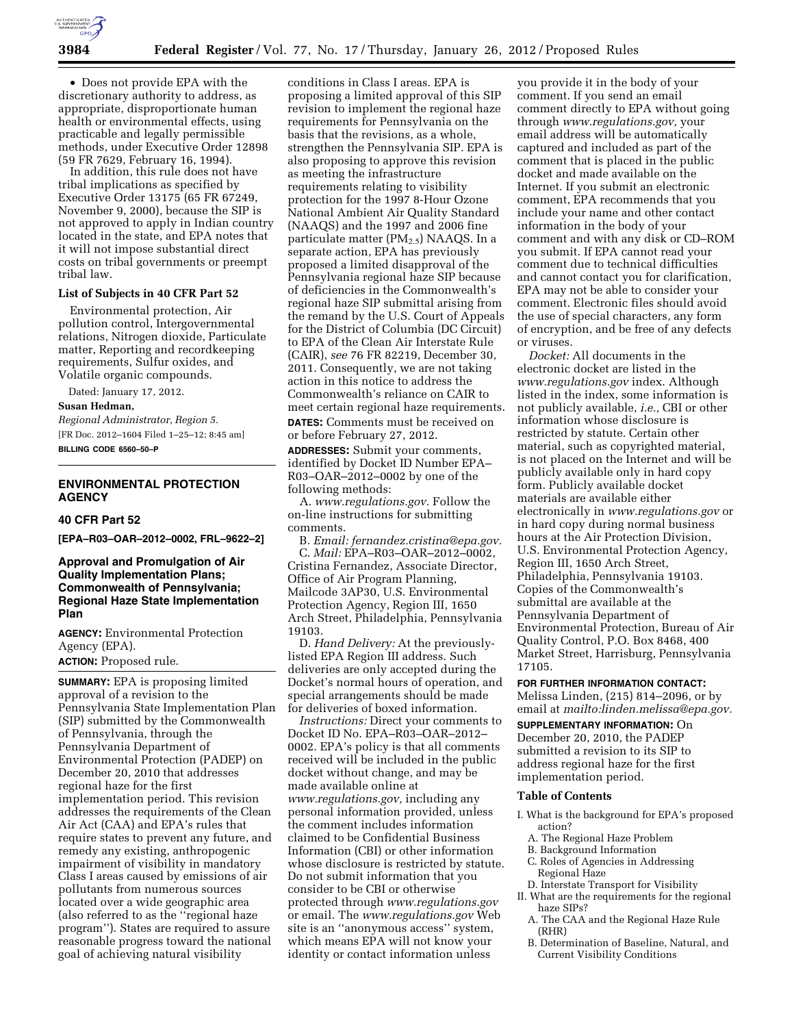

• Does not provide EPA with the discretionary authority to address, as appropriate, disproportionate human health or environmental effects, using practicable and legally permissible methods, under Executive Order 12898 (59 FR 7629, February 16, 1994).

In addition, this rule does not have tribal implications as specified by Executive Order 13175 (65 FR 67249, November 9, 2000), because the SIP is not approved to apply in Indian country located in the state, and EPA notes that it will not impose substantial direct costs on tribal governments or preempt tribal law.

#### **List of Subjects in 40 CFR Part 52**

Environmental protection, Air pollution control, Intergovernmental relations, Nitrogen dioxide, Particulate matter, Reporting and recordkeeping requirements, Sulfur oxides, and Volatile organic compounds.

Dated: January 17, 2012.

#### **Susan Hedman,**

*Regional Administrator, Region 5.*  [FR Doc. 2012–1604 Filed 1–25–12; 8:45 am] **BILLING CODE 6560–50–P** 

# **ENVIRONMENTAL PROTECTION AGENCY**

#### **40 CFR Part 52**

**[EPA–R03–OAR–2012–0002, FRL–9622–2]** 

**Approval and Promulgation of Air Quality Implementation Plans; Commonwealth of Pennsylvania; Regional Haze State Implementation Plan** 

**AGENCY:** Environmental Protection Agency (EPA). **ACTION:** Proposed rule.

**SUMMARY:** EPA is proposing limited approval of a revision to the Pennsylvania State Implementation Plan (SIP) submitted by the Commonwealth of Pennsylvania, through the Pennsylvania Department of Environmental Protection (PADEP) on December 20, 2010 that addresses regional haze for the first implementation period. This revision addresses the requirements of the Clean Air Act (CAA) and EPA's rules that require states to prevent any future, and remedy any existing, anthropogenic impairment of visibility in mandatory Class I areas caused by emissions of air pollutants from numerous sources located over a wide geographic area (also referred to as the ''regional haze program''). States are required to assure reasonable progress toward the national goal of achieving natural visibility

conditions in Class I areas. EPA is proposing a limited approval of this SIP revision to implement the regional haze requirements for Pennsylvania on the basis that the revisions, as a whole, strengthen the Pennsylvania SIP. EPA is also proposing to approve this revision as meeting the infrastructure requirements relating to visibility protection for the 1997 8-Hour Ozone National Ambient Air Quality Standard (NAAQS) and the 1997 and 2006 fine particulate matter (PM<sub>2.5</sub>) NAAQS. In a separate action, EPA has previously proposed a limited disapproval of the Pennsylvania regional haze SIP because of deficiencies in the Commonwealth's regional haze SIP submittal arising from the remand by the U.S. Court of Appeals for the District of Columbia (DC Circuit) to EPA of the Clean Air Interstate Rule (CAIR), *see* 76 FR 82219, December 30, 2011. Consequently, we are not taking action in this notice to address the Commonwealth's reliance on CAIR to meet certain regional haze requirements. **DATES:** Comments must be received on or before February 27, 2012.

**ADDRESSES:** Submit your comments, identified by Docket ID Number EPA– R03–OAR–2012–0002 by one of the following methods:

A. *[www.regulations.gov.](http://www.regulations.gov)* Follow the on-line instructions for submitting comments.

B. *Email: [fernandez.cristina@epa.gov.](mailto:fernandez.cristina@epa.gov)*  C. *Mail:* EPA–R03–OAR–2012–0002, Cristina Fernandez, Associate Director, Office of Air Program Planning, Mailcode 3AP30, U.S. Environmental Protection Agency, Region III, 1650 Arch Street, Philadelphia, Pennsylvania 19103.

D. *Hand Delivery:* At the previouslylisted EPA Region III address. Such deliveries are only accepted during the Docket's normal hours of operation, and special arrangements should be made for deliveries of boxed information.

*Instructions:* Direct your comments to Docket ID No. EPA–R03–OAR–2012– 0002. EPA's policy is that all comments received will be included in the public docket without change, and may be made available online at *[www.regulations.gov,](http://www.regulations.gov)* including any personal information provided, unless the comment includes information claimed to be Confidential Business Information (CBI) or other information whose disclosure is restricted by statute. Do not submit information that you consider to be CBI or otherwise protected through *[www.regulations.gov](http://www.regulations.gov)*  or email. The *[www.regulations.gov](http://www.regulations.gov)* Web site is an ''anonymous access'' system, which means EPA will not know your identity or contact information unless

you provide it in the body of your comment. If you send an email comment directly to EPA without going through *[www.regulations.gov,](http://www.regulations.gov)* your email address will be automatically captured and included as part of the comment that is placed in the public docket and made available on the Internet. If you submit an electronic comment, EPA recommends that you include your name and other contact information in the body of your comment and with any disk or CD–ROM you submit. If EPA cannot read your comment due to technical difficulties and cannot contact you for clarification, EPA may not be able to consider your comment. Electronic files should avoid the use of special characters, any form of encryption, and be free of any defects or viruses.

*Docket:* All documents in the electronic docket are listed in the *[www.regulations.gov](http://www.regulations.gov)* index. Although listed in the index, some information is not publicly available, *i.e.,* CBI or other information whose disclosure is restricted by statute. Certain other material, such as copyrighted material, is not placed on the Internet and will be publicly available only in hard copy form. Publicly available docket materials are available either electronically in *[www.regulations.gov](http://www.regulations.gov)* or in hard copy during normal business hours at the Air Protection Division, U.S. Environmental Protection Agency, Region III, 1650 Arch Street, Philadelphia, Pennsylvania 19103. Copies of the Commonwealth's submittal are available at the Pennsylvania Department of Environmental Protection, Bureau of Air Quality Control, P.O. Box 8468, 400 Market Street, Harrisburg, Pennsylvania 17105.

#### **FOR FURTHER INFORMATION CONTACT:**

Melissa Linden, (215) 814–2096, or by email at *mailto:[linden.melissa@epa.gov.](mailto:linden.melissa@epa.gov)* 

**SUPPLEMENTARY INFORMATION:** On December 20, 2010, the PADEP submitted a revision to its SIP to address regional haze for the first implementation period.

#### **Table of Contents**

- I. What is the background for EPA's proposed action?
	- A. The Regional Haze Problem
	- B. Background Information
	- C. Roles of Agencies in Addressing Regional Haze
- D. Interstate Transport for Visibility II. What are the requirements for the regional
	- haze SIPs?
	- A. The CAA and the Regional Haze Rule (RHR)
	- B. Determination of Baseline, Natural, and Current Visibility Conditions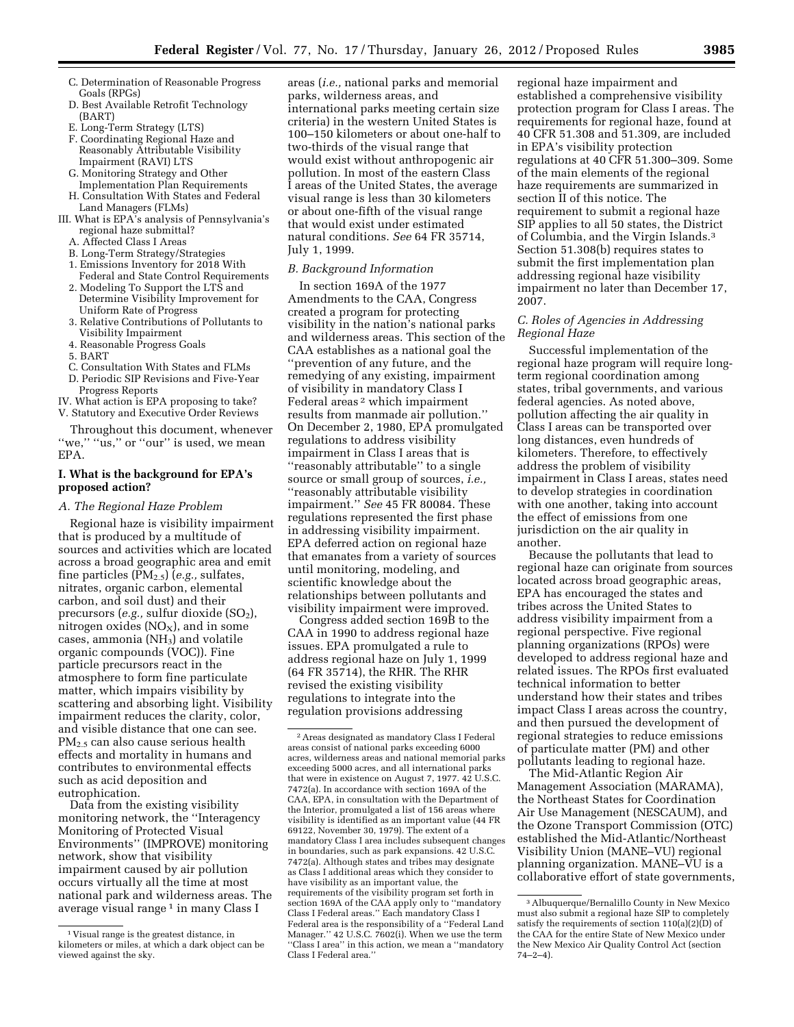- C. Determination of Reasonable Progress Goals (RPGs)
- D. Best Available Retrofit Technology (BART)
- E. Long-Term Strategy (LTS)
- F. Coordinating Regional Haze and Reasonably Attributable Visibility Impairment (RAVI) LTS
- G. Monitoring Strategy and Other
- Implementation Plan Requirements H. Consultation With States and Federal Land Managers (FLMs)
- III. What is EPA's analysis of Pennsylvania's regional haze submittal?
	- A. Affected Class I Areas
	- B. Long-Term Strategy/Strategies
	- 1. Emissions Inventory for 2018 With
	- Federal and State Control Requirements 2. Modeling To Support the LTS and
	- Determine Visibility Improvement for Uniform Rate of Progress
	- 3. Relative Contributions of Pollutants to Visibility Impairment
	- 4. Reasonable Progress Goals
	- 5. BART
	- C. Consultation With States and FLMs
	- D. Periodic SIP Revisions and Five-Year
	- Progress Reports
- IV. What action is EPA proposing to take?
- V. Statutory and Executive Order Reviews

Throughout this document, whenever "we," "us," or "our" is used, we mean EPA.

#### **I. What is the background for EPA's proposed action?**

#### *A. The Regional Haze Problem*

Regional haze is visibility impairment that is produced by a multitude of sources and activities which are located across a broad geographic area and emit fine particles (PM2.5) (*e.g.,* sulfates, nitrates, organic carbon, elemental carbon, and soil dust) and their precursors (e.g., sulfur dioxide (SO<sub>2</sub>), nitrogen oxides  $(NO<sub>X</sub>)$ , and in some cases, ammonia (NH3) and volatile organic compounds (VOC)). Fine particle precursors react in the atmosphere to form fine particulate matter, which impairs visibility by scattering and absorbing light. Visibility impairment reduces the clarity, color, and visible distance that one can see. PM<sub>2.5</sub> can also cause serious health effects and mortality in humans and contributes to environmental effects such as acid deposition and eutrophication.

Data from the existing visibility monitoring network, the ''Interagency Monitoring of Protected Visual Environments'' (IMPROVE) monitoring network, show that visibility impairment caused by air pollution occurs virtually all the time at most national park and wilderness areas. The average visual range<sup>1</sup> in many Class I

areas (*i.e.,* national parks and memorial parks, wilderness areas, and international parks meeting certain size criteria) in the western United States is 100–150 kilometers or about one-half to two-thirds of the visual range that would exist without anthropogenic air pollution. In most of the eastern Class I areas of the United States, the average visual range is less than 30 kilometers or about one-fifth of the visual range that would exist under estimated natural conditions. *See* 64 FR 35714, July 1, 1999.

#### *B. Background Information*

In section 169A of the 1977 Amendments to the CAA, Congress created a program for protecting visibility in the nation's national parks and wilderness areas. This section of the CAA establishes as a national goal the ''prevention of any future, and the remedying of any existing, impairment of visibility in mandatory Class I Federal areas 2 which impairment results from manmade air pollution.'' On December 2, 1980, EPA promulgated regulations to address visibility impairment in Class I areas that is ''reasonably attributable'' to a single source or small group of sources, *i.e.,*  ''reasonably attributable visibility impairment.'' *See* 45 FR 80084. These regulations represented the first phase in addressing visibility impairment. EPA deferred action on regional haze that emanates from a variety of sources until monitoring, modeling, and scientific knowledge about the relationships between pollutants and visibility impairment were improved.

Congress added section 169B to the CAA in 1990 to address regional haze issues. EPA promulgated a rule to address regional haze on July 1, 1999 (64 FR 35714), the RHR. The RHR revised the existing visibility regulations to integrate into the regulation provisions addressing

regional haze impairment and established a comprehensive visibility protection program for Class I areas. The requirements for regional haze, found at 40 CFR 51.308 and 51.309, are included in EPA's visibility protection regulations at 40 CFR 51.300–309. Some of the main elements of the regional haze requirements are summarized in section II of this notice. The requirement to submit a regional haze SIP applies to all 50 states, the District of Columbia, and the Virgin Islands.3 Section 51.308(b) requires states to submit the first implementation plan addressing regional haze visibility impairment no later than December 17, 2007.

# *C. Roles of Agencies in Addressing Regional Haze*

Successful implementation of the regional haze program will require longterm regional coordination among states, tribal governments, and various federal agencies. As noted above, pollution affecting the air quality in Class I areas can be transported over long distances, even hundreds of kilometers. Therefore, to effectively address the problem of visibility impairment in Class I areas, states need to develop strategies in coordination with one another, taking into account the effect of emissions from one jurisdiction on the air quality in another.

Because the pollutants that lead to regional haze can originate from sources located across broad geographic areas, EPA has encouraged the states and tribes across the United States to address visibility impairment from a regional perspective. Five regional planning organizations (RPOs) were developed to address regional haze and related issues. The RPOs first evaluated technical information to better understand how their states and tribes impact Class I areas across the country, and then pursued the development of regional strategies to reduce emissions of particulate matter (PM) and other pollutants leading to regional haze.

The Mid-Atlantic Region Air Management Association (MARAMA), the Northeast States for Coordination Air Use Management (NESCAUM), and the Ozone Transport Commission (OTC) established the Mid-Atlantic/Northeast Visibility Union (MANE–VU) regional planning organization. MANE–VU is a collaborative effort of state governments,

<sup>1</sup> Visual range is the greatest distance, in kilometers or miles, at which a dark object can be viewed against the sky.

<sup>2</sup>Areas designated as mandatory Class I Federal areas consist of national parks exceeding 6000 acres, wilderness areas and national memorial parks exceeding 5000 acres, and all international parks that were in existence on August 7, 1977. 42 U.S.C. 7472(a). In accordance with section 169A of the CAA, EPA, in consultation with the Department of the Interior, promulgated a list of 156 areas where visibility is identified as an important value (44 FR 69122, November 30, 1979). The extent of a mandatory Class I area includes subsequent changes in boundaries, such as park expansions. 42 U.S.C. 7472(a). Although states and tribes may designate as Class I additional areas which they consider to have visibility as an important value, the requirements of the visibility program set forth in section 169A of the CAA apply only to ''mandatory Class I Federal areas.'' Each mandatory Class I Federal area is the responsibility of a "Federal Land Manager.'' 42 U.S.C. 7602(i). When we use the term ''Class I area'' in this action, we mean a ''mandatory Class I Federal area.''

<sup>3</sup>Albuquerque/Bernalillo County in New Mexico must also submit a regional haze SIP to completely satisfy the requirements of section  $110(a)(2)(D)$  of the CAA for the entire State of New Mexico under the New Mexico Air Quality Control Act (section 74–2–4).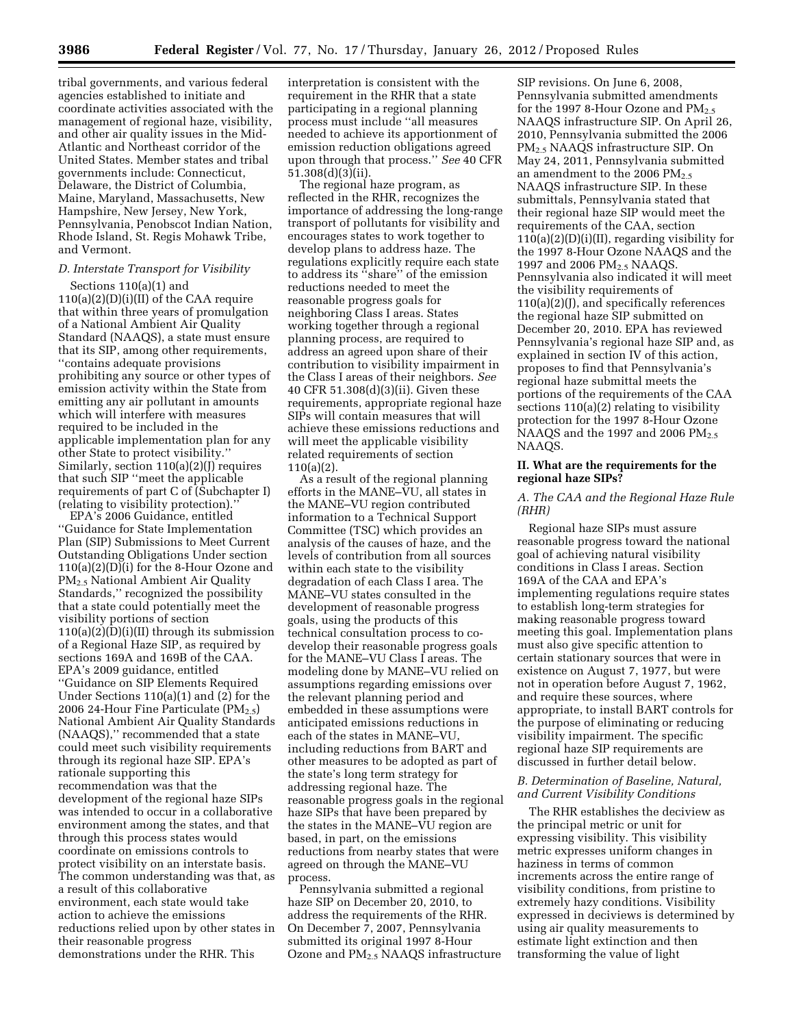tribal governments, and various federal agencies established to initiate and coordinate activities associated with the management of regional haze, visibility, and other air quality issues in the Mid-Atlantic and Northeast corridor of the United States. Member states and tribal governments include: Connecticut, Delaware, the District of Columbia, Maine, Maryland, Massachusetts, New Hampshire, New Jersey, New York, Pennsylvania, Penobscot Indian Nation, Rhode Island, St. Regis Mohawk Tribe, and Vermont.

# *D. Interstate Transport for Visibility*

Sections 110(a)(1) and 110(a)(2)(D)(i)(II) of the CAA require that within three years of promulgation of a National Ambient Air Quality Standard (NAAQS), a state must ensure that its SIP, among other requirements, ''contains adequate provisions prohibiting any source or other types of emission activity within the State from emitting any air pollutant in amounts which will interfere with measures required to be included in the applicable implementation plan for any other State to protect visibility.'' Similarly, section 110(a)(2)(J) requires that such SIP ''meet the applicable requirements of part C of (Subchapter I) (relating to visibility protection).''

EPA's 2006 Guidance, entitled ''Guidance for State Implementation Plan (SIP) Submissions to Meet Current Outstanding Obligations Under section 110(a)(2)(D)(i) for the 8-Hour Ozone and PM2.5 National Ambient Air Quality Standards,'' recognized the possibility that a state could potentially meet the visibility portions of section  $110(a)(2)(D)(i)(II)$  through its submission of a Regional Haze SIP, as required by sections 169A and 169B of the CAA. EPA's 2009 guidance, entitled ''Guidance on SIP Elements Required Under Sections 110(a)(1) and (2) for the 2006 24-Hour Fine Particulate  $(PM_{2.5})$ National Ambient Air Quality Standards (NAAQS),'' recommended that a state could meet such visibility requirements through its regional haze SIP. EPA's rationale supporting this recommendation was that the development of the regional haze SIPs was intended to occur in a collaborative environment among the states, and that through this process states would coordinate on emissions controls to protect visibility on an interstate basis. The common understanding was that, as a result of this collaborative environment, each state would take action to achieve the emissions reductions relied upon by other states in their reasonable progress demonstrations under the RHR. This

interpretation is consistent with the requirement in the RHR that a state participating in a regional planning process must include ''all measures needed to achieve its apportionment of emission reduction obligations agreed upon through that process.'' *See* 40 CFR 51.308(d)(3)(ii).

The regional haze program, as reflected in the RHR, recognizes the importance of addressing the long-range transport of pollutants for visibility and encourages states to work together to develop plans to address haze. The regulations explicitly require each state to address its ''share'' of the emission reductions needed to meet the reasonable progress goals for neighboring Class I areas. States working together through a regional planning process, are required to address an agreed upon share of their contribution to visibility impairment in the Class I areas of their neighbors. *See*  40 CFR 51.308(d)(3)(ii). Given these requirements, appropriate regional haze SIPs will contain measures that will achieve these emissions reductions and will meet the applicable visibility related requirements of section 110(a)(2).

As a result of the regional planning efforts in the MANE–VU, all states in the MANE–VU region contributed information to a Technical Support Committee (TSC) which provides an analysis of the causes of haze, and the levels of contribution from all sources within each state to the visibility degradation of each Class I area. The MANE–VU states consulted in the development of reasonable progress goals, using the products of this technical consultation process to codevelop their reasonable progress goals for the MANE–VU Class I areas. The modeling done by MANE–VU relied on assumptions regarding emissions over the relevant planning period and embedded in these assumptions were anticipated emissions reductions in each of the states in MANE–VU, including reductions from BART and other measures to be adopted as part of the state's long term strategy for addressing regional haze. The reasonable progress goals in the regional haze SIPs that have been prepared by the states in the MANE–VU region are based, in part, on the emissions reductions from nearby states that were agreed on through the MANE–VU process.

Pennsylvania submitted a regional haze SIP on December 20, 2010, to address the requirements of the RHR. On December 7, 2007, Pennsylvania submitted its original 1997 8-Hour Ozone and PM2.5 NAAQS infrastructure

SIP revisions. On June 6, 2008, Pennsylvania submitted amendments for the 1997 8-Hour Ozone and  $PM_{2.5}$ NAAQS infrastructure SIP. On April 26, 2010, Pennsylvania submitted the 2006 PM2.5 NAAQS infrastructure SIP. On May 24, 2011, Pennsylvania submitted an amendment to the 2006  $PM_{2.5}$ NAAQS infrastructure SIP. In these submittals, Pennsylvania stated that their regional haze SIP would meet the requirements of the CAA, section  $110(a)(2)(D)(i)(II)$ , regarding visibility for the 1997 8-Hour Ozone NAAQS and the 1997 and 2006 PM<sub>2.5</sub> NAAQS. Pennsylvania also indicated it will meet the visibility requirements of 110(a)(2)(J), and specifically references the regional haze SIP submitted on December 20, 2010. EPA has reviewed Pennsylvania's regional haze SIP and, as explained in section IV of this action, proposes to find that Pennsylvania's regional haze submittal meets the portions of the requirements of the CAA sections 110(a)(2) relating to visibility protection for the 1997 8-Hour Ozone NAAQS and the 1997 and 2006  $PM<sub>2.5</sub>$ NAAQS.

#### **II. What are the requirements for the regional haze SIPs?**

#### *A. The CAA and the Regional Haze Rule (RHR)*

Regional haze SIPs must assure reasonable progress toward the national goal of achieving natural visibility conditions in Class I areas. Section 169A of the CAA and EPA's implementing regulations require states to establish long-term strategies for making reasonable progress toward meeting this goal. Implementation plans must also give specific attention to certain stationary sources that were in existence on August 7, 1977, but were not in operation before August 7, 1962, and require these sources, where appropriate, to install BART controls for the purpose of eliminating or reducing visibility impairment. The specific regional haze SIP requirements are discussed in further detail below.

#### *B. Determination of Baseline, Natural, and Current Visibility Conditions*

The RHR establishes the deciview as the principal metric or unit for expressing visibility. This visibility metric expresses uniform changes in haziness in terms of common increments across the entire range of visibility conditions, from pristine to extremely hazy conditions. Visibility expressed in deciviews is determined by using air quality measurements to estimate light extinction and then transforming the value of light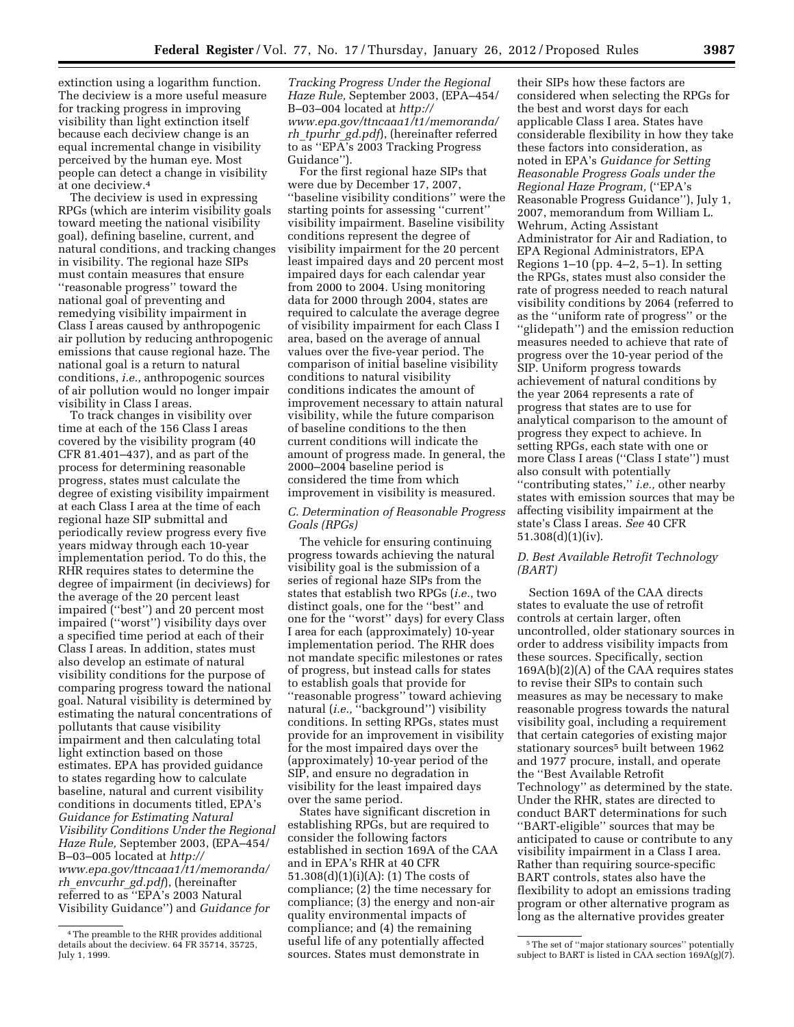extinction using a logarithm function. The deciview is a more useful measure for tracking progress in improving visibility than light extinction itself because each deciview change is an equal incremental change in visibility perceived by the human eye. Most people can detect a change in visibility at one deciview.4

The deciview is used in expressing RPGs (which are interim visibility goals toward meeting the national visibility goal), defining baseline, current, and natural conditions, and tracking changes in visibility. The regional haze SIPs must contain measures that ensure ''reasonable progress'' toward the national goal of preventing and remedying visibility impairment in Class I areas caused by anthropogenic air pollution by reducing anthropogenic emissions that cause regional haze. The national goal is a return to natural conditions, *i.e.,* anthropogenic sources of air pollution would no longer impair visibility in Class I areas.

To track changes in visibility over time at each of the 156 Class I areas covered by the visibility program (40 CFR 81.401–437), and as part of the process for determining reasonable progress, states must calculate the degree of existing visibility impairment at each Class I area at the time of each regional haze SIP submittal and periodically review progress every five years midway through each 10-year implementation period. To do this, the RHR requires states to determine the degree of impairment (in deciviews) for the average of the 20 percent least impaired (''best'') and 20 percent most impaired (''worst'') visibility days over a specified time period at each of their Class I areas. In addition, states must also develop an estimate of natural visibility conditions for the purpose of comparing progress toward the national goal. Natural visibility is determined by estimating the natural concentrations of pollutants that cause visibility impairment and then calculating total light extinction based on those estimates. EPA has provided guidance to states regarding how to calculate baseline, natural and current visibility conditions in documents titled, EPA's *Guidance for Estimating Natural Visibility Conditions Under the Regional Haze Rule,* September 2003, (EPA–454/ B–03–005 located at *[http://](http://www.epa.gov/ttncaaa1/t1/memoranda/rh_envcurhr_gd.pdf) [www.epa.gov/ttncaaa1/t1/memoranda/](http://www.epa.gov/ttncaaa1/t1/memoranda/rh_envcurhr_gd.pdf)  rh*\_*[envcurhr](http://www.epa.gov/ttncaaa1/t1/memoranda/rh_envcurhr_gd.pdf)*\_*gd.pdf*), (hereinafter referred to as ''EPA's 2003 Natural Visibility Guidance'') and *Guidance for* 

*Tracking Progress Under the Regional Haze Rule,* September 2003, (EPA–454/ B–03–004 located at *[http://](http://www.epa.gov/ttncaaa1/t1/memoranda/rh_tpurhr_gd.pdf) [www.epa.gov/ttncaaa1/t1/memoranda/](http://www.epa.gov/ttncaaa1/t1/memoranda/rh_tpurhr_gd.pdf)  rh*\_*[tpurhr](http://www.epa.gov/ttncaaa1/t1/memoranda/rh_tpurhr_gd.pdf)*\_*gd.pdf*), (hereinafter referred to as ''EPA's 2003 Tracking Progress Guidance'').

For the first regional haze SIPs that were due by December 17, 2007, ''baseline visibility conditions'' were the starting points for assessing ''current'' visibility impairment. Baseline visibility conditions represent the degree of visibility impairment for the 20 percent least impaired days and 20 percent most impaired days for each calendar year from 2000 to 2004. Using monitoring data for 2000 through 2004, states are required to calculate the average degree of visibility impairment for each Class I area, based on the average of annual values over the five-year period. The comparison of initial baseline visibility conditions to natural visibility conditions indicates the amount of improvement necessary to attain natural visibility, while the future comparison of baseline conditions to the then current conditions will indicate the amount of progress made. In general, the 2000–2004 baseline period is considered the time from which improvement in visibility is measured.

# *C. Determination of Reasonable Progress Goals (RPGs)*

The vehicle for ensuring continuing progress towards achieving the natural visibility goal is the submission of a series of regional haze SIPs from the states that establish two RPGs (*i.e.,* two distinct goals, one for the ''best'' and one for the ''worst'' days) for every Class I area for each (approximately) 10-year implementation period. The RHR does not mandate specific milestones or rates of progress, but instead calls for states to establish goals that provide for ''reasonable progress'' toward achieving natural (*i.e.*, "background") visibility conditions. In setting RPGs, states must provide for an improvement in visibility for the most impaired days over the (approximately) 10-year period of the SIP, and ensure no degradation in visibility for the least impaired days over the same period.

States have significant discretion in establishing RPGs, but are required to consider the following factors established in section 169A of the CAA and in EPA's RHR at 40 CFR 51.308(d)(1)(i)(A): (1) The costs of compliance; (2) the time necessary for compliance; (3) the energy and non-air quality environmental impacts of compliance; and (4) the remaining useful life of any potentially affected sources. States must demonstrate in

their SIPs how these factors are considered when selecting the RPGs for the best and worst days for each applicable Class I area. States have considerable flexibility in how they take these factors into consideration, as noted in EPA's *Guidance for Setting Reasonable Progress Goals under the Regional Haze Program,* (''EPA's Reasonable Progress Guidance''), July 1, 2007, memorandum from William L. Wehrum, Acting Assistant Administrator for Air and Radiation, to EPA Regional Administrators, EPA Regions 1–10 (pp. 4–2, 5–1). In setting the RPGs, states must also consider the rate of progress needed to reach natural visibility conditions by 2064 (referred to as the ''uniform rate of progress'' or the ''glidepath'') and the emission reduction measures needed to achieve that rate of progress over the 10-year period of the SIP. Uniform progress towards achievement of natural conditions by the year 2064 represents a rate of progress that states are to use for analytical comparison to the amount of progress they expect to achieve. In setting RPGs, each state with one or more Class I areas (''Class I state'') must also consult with potentially ''contributing states,'' *i.e.,* other nearby states with emission sources that may be affecting visibility impairment at the state's Class I areas. *See* 40 CFR 51.308(d)(1)(iv).

## *D. Best Available Retrofit Technology (BART)*

Section 169A of the CAA directs states to evaluate the use of retrofit controls at certain larger, often uncontrolled, older stationary sources in order to address visibility impacts from these sources. Specifically, section 169A(b)(2)(A) of the CAA requires states to revise their SIPs to contain such measures as may be necessary to make reasonable progress towards the natural visibility goal, including a requirement that certain categories of existing major stationary sources<sup>5</sup> built between 1962 and 1977 procure, install, and operate the ''Best Available Retrofit Technology'' as determined by the state. Under the RHR, states are directed to conduct BART determinations for such ''BART-eligible'' sources that may be anticipated to cause or contribute to any visibility impairment in a Class I area. Rather than requiring source-specific BART controls, states also have the flexibility to adopt an emissions trading program or other alternative program as long as the alternative provides greater

<sup>4</sup>The preamble to the RHR provides additional details about the deciview. 64 FR 35714, 35725, July 1, 1999.

<sup>5</sup>The set of ''major stationary sources'' potentially subject to BART is listed in  $CAA$  section  $169A(g)(7)$ .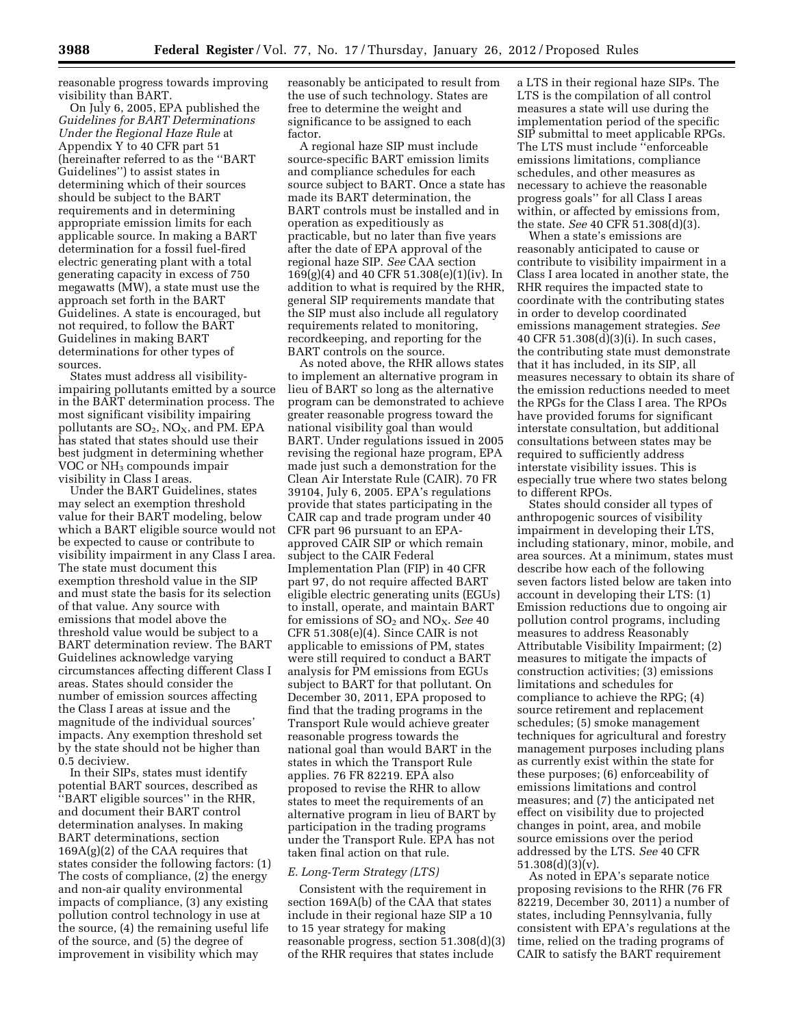reasonable progress towards improving visibility than BART.

On July 6, 2005, EPA published the *Guidelines for BART Determinations Under the Regional Haze Rule* at Appendix Y to 40 CFR part 51 (hereinafter referred to as the ''BART Guidelines'') to assist states in determining which of their sources should be subject to the BART requirements and in determining appropriate emission limits for each applicable source. In making a BART determination for a fossil fuel-fired electric generating plant with a total generating capacity in excess of 750 megawatts (MW), a state must use the approach set forth in the BART Guidelines. A state is encouraged, but not required, to follow the BART Guidelines in making BART determinations for other types of sources.

States must address all visibilityimpairing pollutants emitted by a source in the BART determination process. The most significant visibility impairing pollutants are  $SO_2$ ,  $NO_X$ , and PM. EPA has stated that states should use their best judgment in determining whether VOC or  $\rm NH_3$  compounds impair visibility in Class I areas.

Under the BART Guidelines, states may select an exemption threshold value for their BART modeling, below which a BART eligible source would not be expected to cause or contribute to visibility impairment in any Class I area. The state must document this exemption threshold value in the SIP and must state the basis for its selection of that value. Any source with emissions that model above the threshold value would be subject to a BART determination review. The BART Guidelines acknowledge varying circumstances affecting different Class I areas. States should consider the number of emission sources affecting the Class I areas at issue and the magnitude of the individual sources' impacts. Any exemption threshold set by the state should not be higher than 0.5 deciview.

In their SIPs, states must identify potential BART sources, described as ''BART eligible sources'' in the RHR, and document their BART control determination analyses. In making BART determinations, section 169A(g)(2) of the CAA requires that states consider the following factors: (1) The costs of compliance, (2) the energy and non-air quality environmental impacts of compliance, (3) any existing pollution control technology in use at the source, (4) the remaining useful life of the source, and (5) the degree of improvement in visibility which may

reasonably be anticipated to result from the use of such technology. States are free to determine the weight and significance to be assigned to each factor.

A regional haze SIP must include source-specific BART emission limits and compliance schedules for each source subject to BART. Once a state has made its BART determination, the BART controls must be installed and in operation as expeditiously as practicable, but no later than five years after the date of EPA approval of the regional haze SIP. *See* CAA section 169(g)(4) and 40 CFR 51.308(e)(1)(iv). In addition to what is required by the RHR, general SIP requirements mandate that the SIP must also include all regulatory requirements related to monitoring, recordkeeping, and reporting for the BART controls on the source.

As noted above, the RHR allows states to implement an alternative program in lieu of BART so long as the alternative program can be demonstrated to achieve greater reasonable progress toward the national visibility goal than would BART. Under regulations issued in 2005 revising the regional haze program, EPA made just such a demonstration for the Clean Air Interstate Rule (CAIR). 70 FR 39104, July 6, 2005. EPA's regulations provide that states participating in the CAIR cap and trade program under 40 CFR part 96 pursuant to an EPAapproved CAIR SIP or which remain subject to the CAIR Federal Implementation Plan (FIP) in 40 CFR part 97, do not require affected BART eligible electric generating units (EGUs) to install, operate, and maintain BART for emissions of SO2 and NOX. *See* 40 CFR 51.308(e)(4). Since CAIR is not applicable to emissions of PM, states were still required to conduct a BART analysis for PM emissions from EGUs subject to BART for that pollutant. On December 30, 2011, EPA proposed to find that the trading programs in the Transport Rule would achieve greater reasonable progress towards the national goal than would BART in the states in which the Transport Rule applies. 76 FR 82219. EPA also proposed to revise the RHR to allow states to meet the requirements of an alternative program in lieu of BART by participation in the trading programs under the Transport Rule. EPA has not taken final action on that rule.

#### *E. Long-Term Strategy (LTS)*

Consistent with the requirement in section 169A(b) of the CAA that states include in their regional haze SIP a 10 to 15 year strategy for making reasonable progress, section 51.308(d)(3) of the RHR requires that states include

a LTS in their regional haze SIPs. The LTS is the compilation of all control measures a state will use during the implementation period of the specific SIP submittal to meet applicable RPGs. The LTS must include ''enforceable emissions limitations, compliance schedules, and other measures as necessary to achieve the reasonable progress goals'' for all Class I areas within, or affected by emissions from, the state. *See* 40 CFR 51.308(d)(3).

When a state's emissions are reasonably anticipated to cause or contribute to visibility impairment in a Class I area located in another state, the RHR requires the impacted state to coordinate with the contributing states in order to develop coordinated emissions management strategies. *See*  40 CFR 51.308(d)(3)(i). In such cases, the contributing state must demonstrate that it has included, in its SIP, all measures necessary to obtain its share of the emission reductions needed to meet the RPGs for the Class I area. The RPOs have provided forums for significant interstate consultation, but additional consultations between states may be required to sufficiently address interstate visibility issues. This is especially true where two states belong to different RPOs.

States should consider all types of anthropogenic sources of visibility impairment in developing their LTS, including stationary, minor, mobile, and area sources. At a minimum, states must describe how each of the following seven factors listed below are taken into account in developing their LTS: (1) Emission reductions due to ongoing air pollution control programs, including measures to address Reasonably Attributable Visibility Impairment; (2) measures to mitigate the impacts of construction activities; (3) emissions limitations and schedules for compliance to achieve the RPG; (4) source retirement and replacement schedules; (5) smoke management techniques for agricultural and forestry management purposes including plans as currently exist within the state for these purposes; (6) enforceability of emissions limitations and control measures; and (7) the anticipated net effect on visibility due to projected changes in point, area, and mobile source emissions over the period addressed by the LTS. *See* 40 CFR 51.308(d)(3)(v).

As noted in EPA's separate notice proposing revisions to the RHR (76 FR 82219, December 30, 2011) a number of states, including Pennsylvania, fully consistent with EPA's regulations at the time, relied on the trading programs of CAIR to satisfy the BART requirement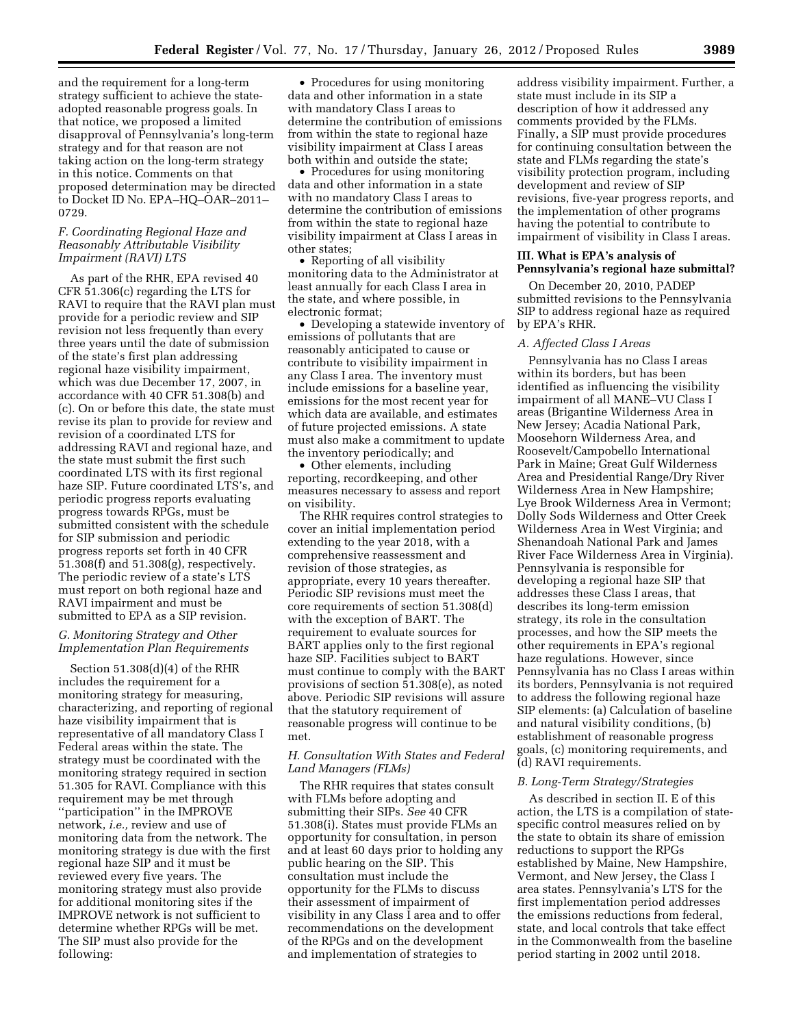and the requirement for a long-term strategy sufficient to achieve the stateadopted reasonable progress goals. In that notice, we proposed a limited disapproval of Pennsylvania's long-term strategy and for that reason are not taking action on the long-term strategy in this notice. Comments on that proposed determination may be directed to Docket ID No. EPA–HQ–OAR–2011– 0729.

## *F. Coordinating Regional Haze and Reasonably Attributable Visibility Impairment (RAVI) LTS*

As part of the RHR, EPA revised 40 CFR 51.306(c) regarding the LTS for RAVI to require that the RAVI plan must provide for a periodic review and SIP revision not less frequently than every three years until the date of submission of the state's first plan addressing regional haze visibility impairment, which was due December 17, 2007, in accordance with 40 CFR 51.308(b) and (c). On or before this date, the state must revise its plan to provide for review and revision of a coordinated LTS for addressing RAVI and regional haze, and the state must submit the first such coordinated LTS with its first regional haze SIP. Future coordinated LTS's, and periodic progress reports evaluating progress towards RPGs, must be submitted consistent with the schedule for SIP submission and periodic progress reports set forth in 40 CFR 51.308(f) and 51.308(g), respectively. The periodic review of a state's LTS must report on both regional haze and RAVI impairment and must be submitted to EPA as a SIP revision.

## *G. Monitoring Strategy and Other Implementation Plan Requirements*

Section 51.308(d)(4) of the RHR includes the requirement for a monitoring strategy for measuring, characterizing, and reporting of regional haze visibility impairment that is representative of all mandatory Class I Federal areas within the state. The strategy must be coordinated with the monitoring strategy required in section 51.305 for RAVI. Compliance with this requirement may be met through ''participation'' in the IMPROVE network, *i.e.,* review and use of monitoring data from the network. The monitoring strategy is due with the first regional haze SIP and it must be reviewed every five years. The monitoring strategy must also provide for additional monitoring sites if the IMPROVE network is not sufficient to determine whether RPGs will be met. The SIP must also provide for the following:

• Procedures for using monitoring data and other information in a state with mandatory Class I areas to determine the contribution of emissions from within the state to regional haze visibility impairment at Class I areas both within and outside the state;

• Procedures for using monitoring data and other information in a state with no mandatory Class I areas to determine the contribution of emissions from within the state to regional haze visibility impairment at Class I areas in other states;

• Reporting of all visibility monitoring data to the Administrator at least annually for each Class I area in the state, and where possible, in electronic format;

• Developing a statewide inventory of emissions of pollutants that are reasonably anticipated to cause or contribute to visibility impairment in any Class I area. The inventory must include emissions for a baseline year, emissions for the most recent year for which data are available, and estimates of future projected emissions. A state must also make a commitment to update the inventory periodically; and

• Other elements, including reporting, recordkeeping, and other measures necessary to assess and report on visibility.

The RHR requires control strategies to cover an initial implementation period extending to the year 2018, with a comprehensive reassessment and revision of those strategies, as appropriate, every 10 years thereafter. Periodic SIP revisions must meet the core requirements of section 51.308(d) with the exception of BART. The requirement to evaluate sources for BART applies only to the first regional haze SIP. Facilities subject to BART must continue to comply with the BART provisions of section 51.308(e), as noted above. Periodic SIP revisions will assure that the statutory requirement of reasonable progress will continue to be met.

#### *H. Consultation With States and Federal Land Managers (FLMs)*

The RHR requires that states consult with FLMs before adopting and submitting their SIPs. *See* 40 CFR 51.308(i). States must provide FLMs an opportunity for consultation, in person and at least 60 days prior to holding any public hearing on the SIP. This consultation must include the opportunity for the FLMs to discuss their assessment of impairment of visibility in any Class I area and to offer recommendations on the development of the RPGs and on the development and implementation of strategies to

address visibility impairment. Further, a state must include in its SIP a description of how it addressed any comments provided by the FLMs. Finally, a SIP must provide procedures for continuing consultation between the state and FLMs regarding the state's visibility protection program, including development and review of SIP revisions, five-year progress reports, and the implementation of other programs having the potential to contribute to impairment of visibility in Class I areas.

# **III. What is EPA's analysis of Pennsylvania's regional haze submittal?**

On December 20, 2010, PADEP submitted revisions to the Pennsylvania SIP to address regional haze as required by EPA's RHR.

#### *A. Affected Class I Areas*

Pennsylvania has no Class I areas within its borders, but has been identified as influencing the visibility impairment of all MANE–VU Class I areas (Brigantine Wilderness Area in New Jersey; Acadia National Park, Moosehorn Wilderness Area, and Roosevelt/Campobello International Park in Maine; Great Gulf Wilderness Area and Presidential Range/Dry River Wilderness Area in New Hampshire; Lye Brook Wilderness Area in Vermont; Dolly Sods Wilderness and Otter Creek Wilderness Area in West Virginia; and Shenandoah National Park and James River Face Wilderness Area in Virginia). Pennsylvania is responsible for developing a regional haze SIP that addresses these Class I areas, that describes its long-term emission strategy, its role in the consultation processes, and how the SIP meets the other requirements in EPA's regional haze regulations. However, since Pennsylvania has no Class I areas within its borders, Pennsylvania is not required to address the following regional haze SIP elements: (a) Calculation of baseline and natural visibility conditions, (b) establishment of reasonable progress goals, (c) monitoring requirements, and (d) RAVI requirements.

#### *B. Long-Term Strategy/Strategies*

As described in section II. E of this action, the LTS is a compilation of statespecific control measures relied on by the state to obtain its share of emission reductions to support the RPGs established by Maine, New Hampshire, Vermont, and New Jersey, the Class I area states. Pennsylvania's LTS for the first implementation period addresses the emissions reductions from federal, state, and local controls that take effect in the Commonwealth from the baseline period starting in 2002 until 2018.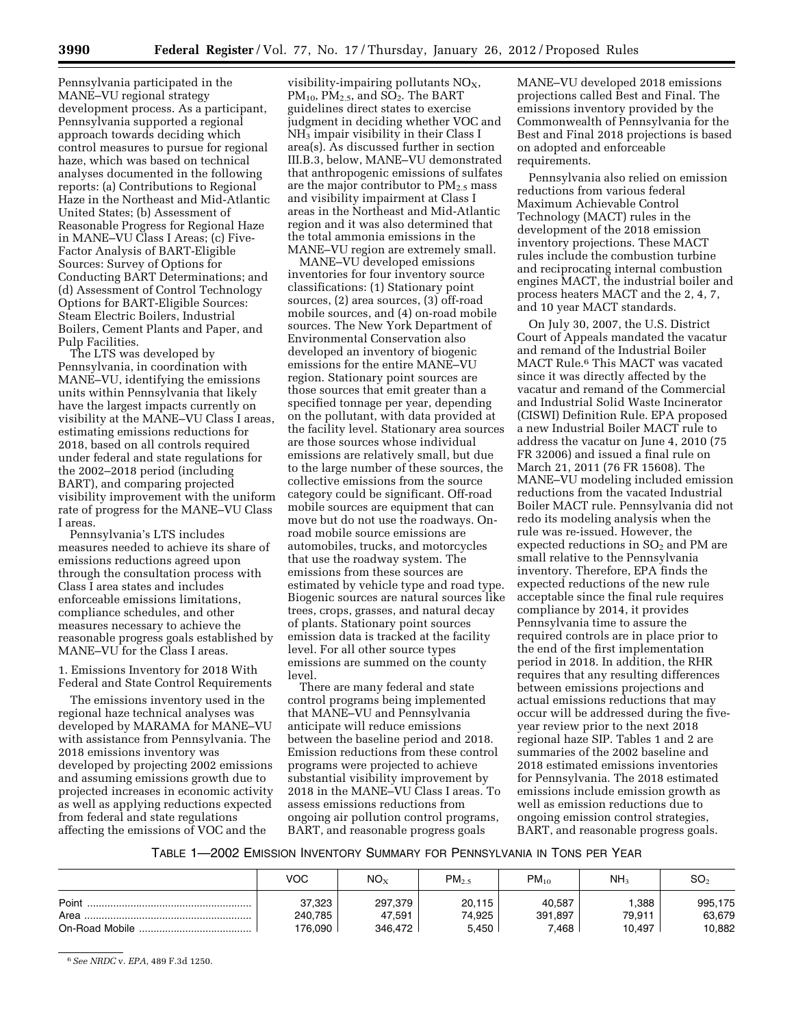Pennsylvania participated in the MANE–VU regional strategy development process. As a participant, Pennsylvania supported a regional approach towards deciding which control measures to pursue for regional haze, which was based on technical analyses documented in the following reports: (a) Contributions to Regional Haze in the Northeast and Mid-Atlantic United States; (b) Assessment of Reasonable Progress for Regional Haze in MANE–VU Class I Areas; (c) Five-Factor Analysis of BART-Eligible Sources: Survey of Options for Conducting BART Determinations; and (d) Assessment of Control Technology Options for BART-Eligible Sources: Steam Electric Boilers, Industrial Boilers, Cement Plants and Paper, and Pulp Facilities.

The LTS was developed by Pennsylvania, in coordination with MANE–VU, identifying the emissions units within Pennsylvania that likely have the largest impacts currently on visibility at the MANE–VU Class I areas, estimating emissions reductions for 2018, based on all controls required under federal and state regulations for the 2002–2018 period (including BART), and comparing projected visibility improvement with the uniform rate of progress for the MANE–VU Class I areas.

Pennsylvania's LTS includes measures needed to achieve its share of emissions reductions agreed upon through the consultation process with Class I area states and includes enforceable emissions limitations, compliance schedules, and other measures necessary to achieve the reasonable progress goals established by MANE–VU for the Class I areas.

1. Emissions Inventory for 2018 With Federal and State Control Requirements

The emissions inventory used in the regional haze technical analyses was developed by MARAMA for MANE–VU with assistance from Pennsylvania. The 2018 emissions inventory was developed by projecting 2002 emissions and assuming emissions growth due to projected increases in economic activity as well as applying reductions expected from federal and state regulations affecting the emissions of VOC and the

visibility-impairing pollutants  $NO<sub>X</sub>$ ,  $PM_{10}$ ,  $PM_{2.5}$ , and  $SO_2$ . The BART guidelines direct states to exercise judgment in deciding whether VOC and  $NH<sub>3</sub>$  impair visibility in their Class I area(s). As discussed further in section III.B.3, below, MANE–VU demonstrated that anthropogenic emissions of sulfates are the major contributor to  $PM_{2.5}$  mass and visibility impairment at Class I areas in the Northeast and Mid-Atlantic region and it was also determined that the total ammonia emissions in the MANE–VU region are extremely small.

MANE–VU developed emissions inventories for four inventory source classifications: (1) Stationary point sources, (2) area sources, (3) off-road mobile sources, and (4) on-road mobile sources. The New York Department of Environmental Conservation also developed an inventory of biogenic emissions for the entire MANE–VU region. Stationary point sources are those sources that emit greater than a specified tonnage per year, depending on the pollutant, with data provided at the facility level. Stationary area sources are those sources whose individual emissions are relatively small, but due to the large number of these sources, the collective emissions from the source category could be significant. Off-road mobile sources are equipment that can move but do not use the roadways. Onroad mobile source emissions are automobiles, trucks, and motorcycles that use the roadway system. The emissions from these sources are estimated by vehicle type and road type. Biogenic sources are natural sources like trees, crops, grasses, and natural decay of plants. Stationary point sources emission data is tracked at the facility level. For all other source types emissions are summed on the county level.

There are many federal and state control programs being implemented that MANE–VU and Pennsylvania anticipate will reduce emissions between the baseline period and 2018. Emission reductions from these control programs were projected to achieve substantial visibility improvement by 2018 in the MANE–VU Class I areas. To assess emissions reductions from ongoing air pollution control programs, BART, and reasonable progress goals

MANE–VU developed 2018 emissions projections called Best and Final. The emissions inventory provided by the Commonwealth of Pennsylvania for the Best and Final 2018 projections is based on adopted and enforceable requirements.

Pennsylvania also relied on emission reductions from various federal Maximum Achievable Control Technology (MACT) rules in the development of the 2018 emission inventory projections. These MACT rules include the combustion turbine and reciprocating internal combustion engines MACT, the industrial boiler and process heaters MACT and the 2, 4, 7, and 10 year MACT standards.

On July 30, 2007, the U.S. District Court of Appeals mandated the vacatur and remand of the Industrial Boiler MACT Rule.6 This MACT was vacated since it was directly affected by the vacatur and remand of the Commercial and Industrial Solid Waste Incinerator (CISWI) Definition Rule. EPA proposed a new Industrial Boiler MACT rule to address the vacatur on June 4, 2010 (75 FR 32006) and issued a final rule on March 21, 2011 (76 FR 15608). The MANE–VU modeling included emission reductions from the vacated Industrial Boiler MACT rule. Pennsylvania did not redo its modeling analysis when the rule was re-issued. However, the expected reductions in  $SO<sub>2</sub>$  and PM are small relative to the Pennsylvania inventory. Therefore, EPA finds the expected reductions of the new rule acceptable since the final rule requires compliance by 2014, it provides Pennsylvania time to assure the required controls are in place prior to the end of the first implementation period in 2018. In addition, the RHR requires that any resulting differences between emissions projections and actual emissions reductions that may occur will be addressed during the fiveyear review prior to the next 2018 regional haze SIP. Tables 1 and 2 are summaries of the 2002 baseline and 2018 estimated emissions inventories for Pennsylvania. The 2018 estimated emissions include emission growth as well as emission reductions due to ongoing emission control strategies, BART, and reasonable progress goals.

TABLE 1—2002 EMISSION INVENTORY SUMMARY FOR PENNSYLVANIA IN TONS PER YEAR

|               | VOC               | NO <sub>x</sub>   | PM <sub>2.5</sub> | $PM_{10}$         | NH <sub>3</sub> | SO <sub>2</sub>   |
|---------------|-------------------|-------------------|-------------------|-------------------|-----------------|-------------------|
| Point<br>Area | 37,323<br>240,785 | 297,379<br>47.591 | 20.115<br>74,925  | 40,587<br>391,897 | 1.388<br>79.911 | 995.175<br>63,679 |
|               | 176,090           | 346.472           | 5.450             | 7.468             | 10,497          | 10,882            |

6*See NRDC* v. *EPA,* 489 F.3d 1250.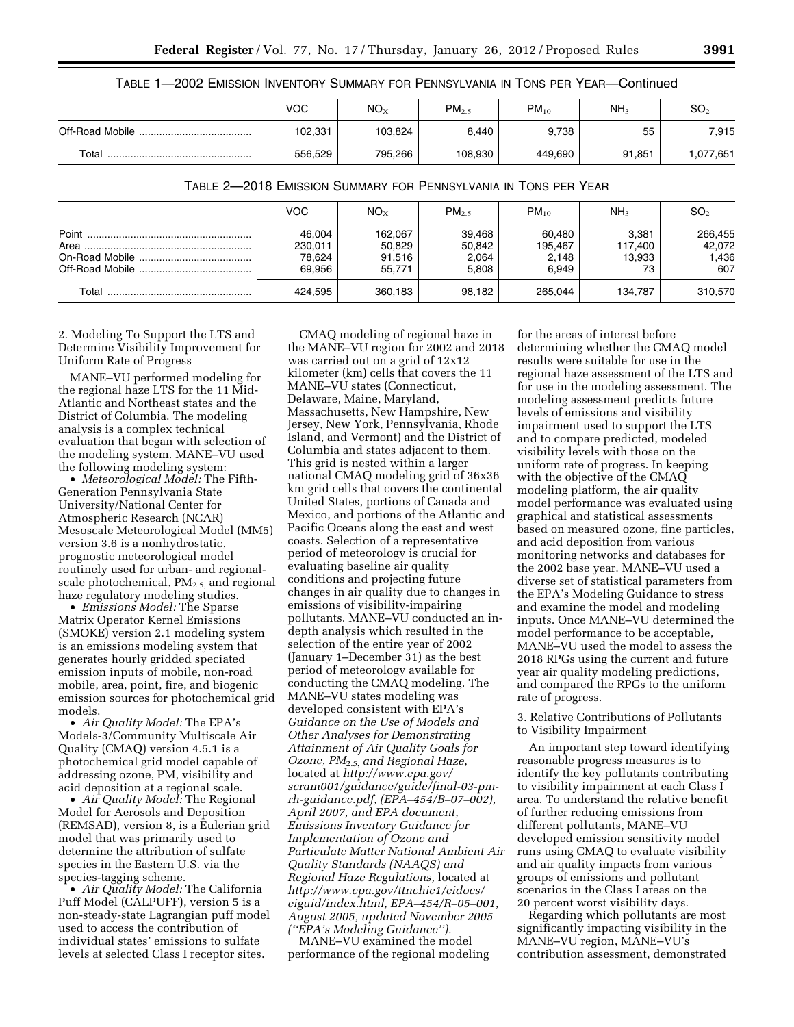| TABLE 1-2002 EMISSION INVENTORY SUMMARY FOR PENNSYLVANIA IN TONS PER YEAR-Continued |  |  |
|-------------------------------------------------------------------------------------|--|--|
|-------------------------------------------------------------------------------------|--|--|

|       | <b>VOC</b> | NO <sub>X</sub> | $PM_{2.5}$ | $PM_{10}$ | NH <sub>3</sub> | SO <sub>2</sub> |
|-------|------------|-----------------|------------|-----------|-----------------|-----------------|
|       | 102,331    | 103.824         | 8.440      | 9,738     | 55              | 7,915           |
| Total | 556,529    | 795,266         | 108,930    | 449.690   | 91,851          | 1,077,651       |

| TABLE 2-2018 EMISSION SUMMARY FOR PENNSYLVANIA IN TONS PER YEAR |  |
|-----------------------------------------------------------------|--|
|-----------------------------------------------------------------|--|

|       | <b>VOC</b>                            | $NO_{x}$                              | $PM_{2.5}$                         | $PM_{10}$                           | NH <sub>3</sub>                  | SO <sub>2</sub>                   |
|-------|---------------------------------------|---------------------------------------|------------------------------------|-------------------------------------|----------------------------------|-----------------------------------|
| Point | 46,004<br>230,011<br>78,624<br>69.956 | 162.067<br>50.829<br>91,516<br>55.771 | 39.468<br>50,842<br>2,064<br>5.808 | 60,480<br>195.467<br>2,148<br>6.949 | 3.381<br>117.400<br>13,933<br>73 | 266,455<br>42,072<br>1,436<br>607 |
| Total | 424.595                               | 360.183                               | 98.182                             | 265.044                             | 134.787                          | 310.570                           |

2. Modeling To Support the LTS and Determine Visibility Improvement for Uniform Rate of Progress

MANE–VU performed modeling for the regional haze LTS for the 11 Mid-Atlantic and Northeast states and the District of Columbia. The modeling analysis is a complex technical evaluation that began with selection of the modeling system. MANE–VU used the following modeling system:

• *Meteorological Model:* The Fifth-Generation Pennsylvania State University/National Center for Atmospheric Research (NCAR) Mesoscale Meteorological Model (MM5) version 3.6 is a nonhydrostatic, prognostic meteorological model routinely used for urban- and regionalscale photochemical,  $PM_{2.5}$  and regional haze regulatory modeling studies.

• *Emissions Model:* The Sparse Matrix Operator Kernel Emissions (SMOKE) version 2.1 modeling system is an emissions modeling system that generates hourly gridded speciated emission inputs of mobile, non-road mobile, area, point, fire, and biogenic emission sources for photochemical grid models.

• *Air Quality Model:* The EPA's Models-3/Community Multiscale Air Quality (CMAQ) version 4.5.1 is a photochemical grid model capable of addressing ozone, PM, visibility and acid deposition at a regional scale.

• *Air Quality Model:* The Regional Model for Aerosols and Deposition (REMSAD), version 8, is a Eulerian grid model that was primarily used to determine the attribution of sulfate species in the Eastern U.S. via the species-tagging scheme.

• *Air Quality Model:* The California Puff Model (CALPUFF), version 5 is a non-steady-state Lagrangian puff model used to access the contribution of individual states' emissions to sulfate levels at selected Class I receptor sites.

CMAQ modeling of regional haze in the MANE–VU region for 2002 and 2018 was carried out on a grid of 12x12 kilometer (km) cells that covers the 11 MANE–VU states (Connecticut, Delaware, Maine, Maryland, Massachusetts, New Hampshire, New Jersey, New York, Pennsylvania, Rhode Island, and Vermont) and the District of Columbia and states adjacent to them. This grid is nested within a larger national CMAQ modeling grid of 36x36 km grid cells that covers the continental United States, portions of Canada and Mexico, and portions of the Atlantic and Pacific Oceans along the east and west coasts. Selection of a representative period of meteorology is crucial for evaluating baseline air quality conditions and projecting future changes in air quality due to changes in emissions of visibility-impairing pollutants. MANE–VU conducted an indepth analysis which resulted in the selection of the entire year of 2002 (January 1–December 31) as the best period of meteorology available for conducting the CMAQ modeling. The MANE–VU states modeling was developed consistent with EPA's *Guidance on the Use of Models and Other Analyses for Demonstrating Attainment of Air Quality Goals for Ozone, PM*2.5, *and Regional Haze*, located at *[http://www.epa.gov/](http://www.epa.gov/scram001/guidance/guide/final-03-pm-rh-guidance.pdf)  [scram001/guidance/guide/final-03-pm](http://www.epa.gov/scram001/guidance/guide/final-03-pm-rh-guidance.pdf)[rh-guidance.pdf,](http://www.epa.gov/scram001/guidance/guide/final-03-pm-rh-guidance.pdf) (EPA–454/B–07–002), April 2007, and EPA document, Emissions Inventory Guidance for Implementation of Ozone and Particulate Matter National Ambient Air Quality Standards (NAAQS) and Regional Haze Regulations,* located at *[http://www.epa.gov/ttnchie1/eidocs/](http://www.epa.gov/ttnchie1/eidocs/eiguid/index.html)  [eiguid/index.html,](http://www.epa.gov/ttnchie1/eidocs/eiguid/index.html) EPA–454/R–05–001, August 2005, updated November 2005 (''EPA's Modeling Guidance'').* 

MANE–VU examined the model performance of the regional modeling

for the areas of interest before determining whether the CMAQ model results were suitable for use in the regional haze assessment of the LTS and for use in the modeling assessment. The modeling assessment predicts future levels of emissions and visibility impairment used to support the LTS and to compare predicted, modeled visibility levels with those on the uniform rate of progress. In keeping with the objective of the CMAQ modeling platform, the air quality model performance was evaluated using graphical and statistical assessments based on measured ozone, fine particles, and acid deposition from various monitoring networks and databases for the 2002 base year. MANE–VU used a diverse set of statistical parameters from the EPA's Modeling Guidance to stress and examine the model and modeling inputs. Once MANE–VU determined the model performance to be acceptable, MANE–VU used the model to assess the 2018 RPGs using the current and future year air quality modeling predictions, and compared the RPGs to the uniform rate of progress.

3. Relative Contributions of Pollutants to Visibility Impairment

An important step toward identifying reasonable progress measures is to identify the key pollutants contributing to visibility impairment at each Class I area. To understand the relative benefit of further reducing emissions from different pollutants, MANE–VU developed emission sensitivity model runs using CMAQ to evaluate visibility and air quality impacts from various groups of emissions and pollutant scenarios in the Class I areas on the 20 percent worst visibility days.

Regarding which pollutants are most significantly impacting visibility in the MANE–VU region, MANE–VU's contribution assessment, demonstrated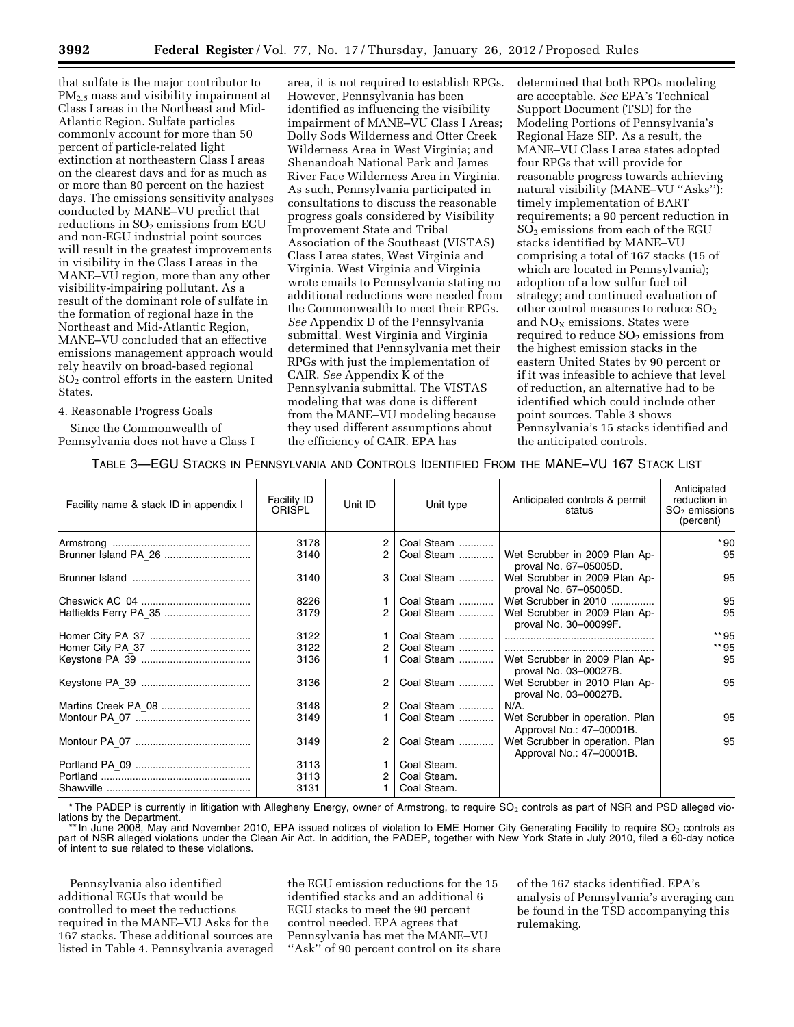that sulfate is the major contributor to PM<sub>2.5</sub> mass and visibility impairment at Class I areas in the Northeast and Mid-Atlantic Region. Sulfate particles commonly account for more than 50 percent of particle-related light extinction at northeastern Class I areas on the clearest days and for as much as or more than 80 percent on the haziest days. The emissions sensitivity analyses conducted by MANE–VU predict that reductions in  $SO<sub>2</sub>$  emissions from EGU and non-EGU industrial point sources will result in the greatest improvements in visibility in the Class I areas in the MANE–VU region, more than any other visibility-impairing pollutant. As a result of the dominant role of sulfate in the formation of regional haze in the Northeast and Mid-Atlantic Region, MANE–VU concluded that an effective emissions management approach would rely heavily on broad-based regional SO2 control efforts in the eastern United States.

4. Reasonable Progress Goals

Since the Commonwealth of Pennsylvania does not have a Class I

area, it is not required to establish RPGs. However, Pennsylvania has been identified as influencing the visibility impairment of MANE–VU Class I Areas; Dolly Sods Wilderness and Otter Creek Wilderness Area in West Virginia; and Shenandoah National Park and James River Face Wilderness Area in Virginia. As such, Pennsylvania participated in consultations to discuss the reasonable progress goals considered by Visibility Improvement State and Tribal Association of the Southeast (VISTAS) Class I area states, West Virginia and Virginia. West Virginia and Virginia wrote emails to Pennsylvania stating no additional reductions were needed from the Commonwealth to meet their RPGs. *See* Appendix D of the Pennsylvania submittal. West Virginia and Virginia determined that Pennsylvania met their RPGs with just the implementation of CAIR. *See* Appendix K of the Pennsylvania submittal. The VISTAS modeling that was done is different from the MANE–VU modeling because they used different assumptions about the efficiency of CAIR. EPA has

determined that both RPOs modeling are acceptable. *See* EPA's Technical Support Document (TSD) for the Modeling Portions of Pennsylvania's Regional Haze SIP. As a result, the MANE–VU Class I area states adopted four RPGs that will provide for reasonable progress towards achieving natural visibility (MANE–VU "Asks"): timely implementation of BART requirements; a 90 percent reduction in SO2 emissions from each of the EGU stacks identified by MANE–VU comprising a total of 167 stacks (15 of which are located in Pennsylvania); adoption of a low sulfur fuel oil strategy; and continued evaluation of other control measures to reduce  $SO<sub>2</sub>$ and NO<sub>X</sub> emissions. States were required to reduce  $SO<sub>2</sub>$  emissions from the highest emission stacks in the eastern United States by 90 percent or if it was infeasible to achieve that level of reduction, an alternative had to be identified which could include other point sources. Table 3 shows Pennsylvania's 15 stacks identified and the anticipated controls.

| TABLE 3—EGU STACKS IN PENNSYLVANIA AND CONTROLS IDENTIFIED FROM THE MANE-VU 167 STACK LIST |  |  |
|--------------------------------------------------------------------------------------------|--|--|
|--------------------------------------------------------------------------------------------|--|--|

| Facility name & stack ID in appendix I | <b>Facility ID</b><br><b>ORISPL</b> | Unit ID        | Unit type   | Anticipated controls & permit<br>status                     | Anticipated<br>reduction in<br>$SO2$ emissions<br>(percent) |
|----------------------------------------|-------------------------------------|----------------|-------------|-------------------------------------------------------------|-------------------------------------------------------------|
|                                        | 3178                                |                | Coal Steam  |                                                             | * 90                                                        |
| Brunner Island PA 26                   | 3140                                | $\overline{2}$ | Coal Steam  | Wet Scrubber in 2009 Plan Ap-<br>proval No. 67-05005D.      | 95                                                          |
|                                        | 3140                                | 3              | Coal Steam  | Wet Scrubber in 2009 Plan Ap-<br>proval No. 67-05005D.      | 95                                                          |
|                                        | 8226                                |                | Coal Steam  | Wet Scrubber in 2010                                        | 95                                                          |
|                                        | 3179                                | 2              | Coal Steam  | Wet Scrubber in 2009 Plan Ap-<br>proval No. 30-00099F.      | 95                                                          |
|                                        | 3122                                |                | Coal Steam  |                                                             | ** 95                                                       |
|                                        | 3122                                | $\overline{2}$ | Coal Steam  |                                                             | ** 95                                                       |
|                                        | 3136                                |                | Coal Steam  | Wet Scrubber in 2009 Plan Ap-<br>proval No. 03-00027B.      | 95                                                          |
|                                        | 3136                                | 2              | Coal Steam  | Wet Scrubber in 2010 Plan Ap-<br>proval No. 03-00027B.      | 95                                                          |
|                                        | 3148                                | 2              | Coal Steam  | $N/A$ .                                                     |                                                             |
|                                        | 3149                                |                | Coal Steam  | Wet Scrubber in operation. Plan<br>Approval No.: 47-00001B. | 95                                                          |
|                                        | 3149                                | 2              | Coal Steam  | Wet Scrubber in operation. Plan<br>Approval No.: 47-00001B. | 95                                                          |
|                                        | 3113                                |                | Coal Steam. |                                                             |                                                             |
|                                        | 3113                                |                | Coal Steam. |                                                             |                                                             |
| Shawville                              | 3131                                |                | Coal Steam. |                                                             |                                                             |

\* The PADEP is currently in litigation with Allegheny Energy, owner of Armstrong, to require SO<sub>2</sub> controls as part of NSR and PSD alleged violations by the Department.

\* In June 2008, May and November 2010, EPA issued notices of violation to EME Homer City Generating Facility to require SO<sub>2</sub> controls as part of NSR alleged violations under the Clean Air Act. In addition, the PADEP, together with New York State in July 2010, filed a 60-day notice of intent to sue related to these violations.

Pennsylvania also identified additional EGUs that would be controlled to meet the reductions required in the MANE–VU Asks for the 167 stacks. These additional sources are listed in Table 4. Pennsylvania averaged the EGU emission reductions for the 15 identified stacks and an additional 6 EGU stacks to meet the 90 percent control needed. EPA agrees that Pennsylvania has met the MANE–VU ''Ask'' of 90 percent control on its share

of the 167 stacks identified. EPA's analysis of Pennsylvania's averaging can be found in the TSD accompanying this rulemaking.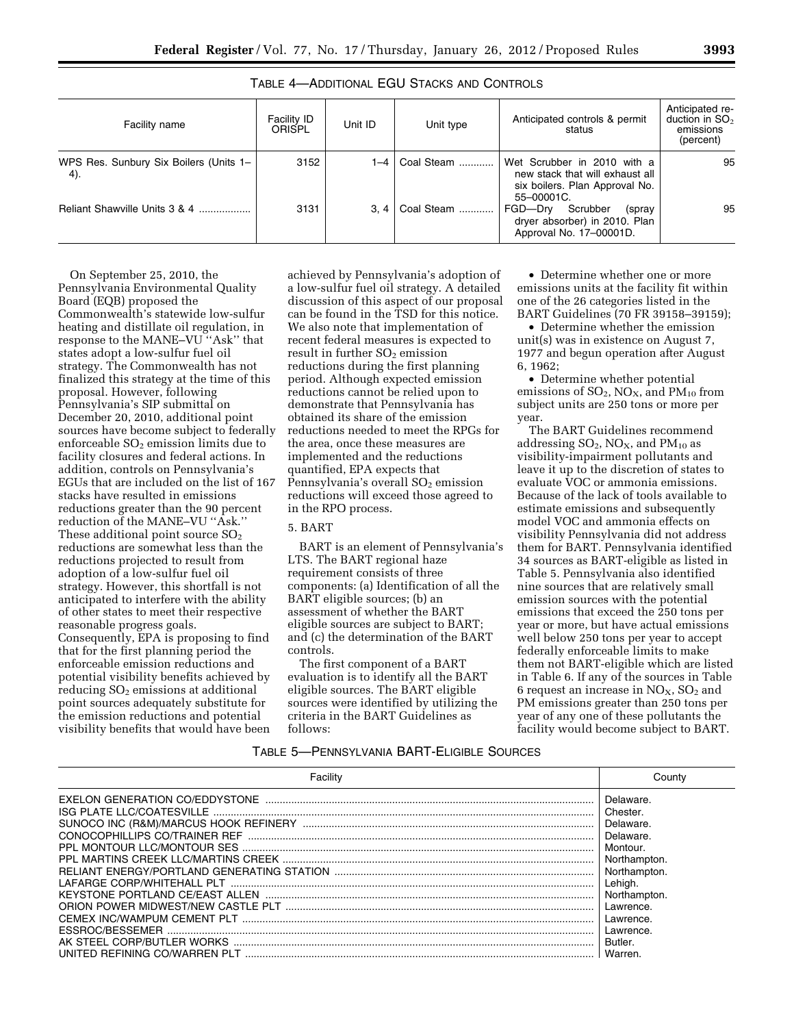# TABLE 4—ADDITIONAL EGU STACKS AND CONTROLS

| Facility name                                 | <b>Facility ID</b><br>ORISPL | Unit ID | Unit type  | Anticipated controls & permit<br>status                                                                        | Anticipated re-<br>duction in $SO2$<br>emissions<br>(percent) |
|-----------------------------------------------|------------------------------|---------|------------|----------------------------------------------------------------------------------------------------------------|---------------------------------------------------------------|
| WPS Res. Sunbury Six Boilers (Units 1-<br>4). | 3152                         | 1–4∣    | Coal Steam | Wet Scrubber in 2010 with a<br>new stack that will exhaust all<br>six boilers. Plan Approval No.<br>55-00001C. | 95                                                            |
| Reliant Shawville Units 3 & 4                 | 3131                         | 3.4     | Coal Steam | FGD-Dry<br>Scrubber<br>(spray<br>dryer absorber) in 2010. Plan<br>Approval No. 17-00001D.                      | 95                                                            |

On September 25, 2010, the Pennsylvania Environmental Quality Board (EQB) proposed the Commonwealth's statewide low-sulfur heating and distillate oil regulation, in response to the MANE–VU ''Ask'' that states adopt a low-sulfur fuel oil strategy. The Commonwealth has not finalized this strategy at the time of this proposal. However, following Pennsylvania's SIP submittal on December 20, 2010, additional point sources have become subject to federally enforceable  $SO<sub>2</sub>$  emission limits due to facility closures and federal actions. In addition, controls on Pennsylvania's EGUs that are included on the list of 167 stacks have resulted in emissions reductions greater than the 90 percent reduction of the MANE–VU ''Ask.'' These additional point source  $SO<sub>2</sub>$ reductions are somewhat less than the reductions projected to result from adoption of a low-sulfur fuel oil strategy. However, this shortfall is not anticipated to interfere with the ability of other states to meet their respective reasonable progress goals. Consequently, EPA is proposing to find that for the first planning period the enforceable emission reductions and potential visibility benefits achieved by reducing  $SO<sub>2</sub>$  emissions at additional point sources adequately substitute for the emission reductions and potential visibility benefits that would have been

achieved by Pennsylvania's adoption of a low-sulfur fuel oil strategy. A detailed discussion of this aspect of our proposal can be found in the TSD for this notice. We also note that implementation of recent federal measures is expected to result in further  $SO<sub>2</sub>$  emission reductions during the first planning period. Although expected emission reductions cannot be relied upon to demonstrate that Pennsylvania has obtained its share of the emission reductions needed to meet the RPGs for the area, once these measures are implemented and the reductions quantified, EPA expects that Pennsylvania's overall SO<sub>2</sub> emission reductions will exceed those agreed to in the RPO process.

# 5. BART

BART is an element of Pennsylvania's LTS. The BART regional haze requirement consists of three components: (a) Identification of all the BART eligible sources; (b) an assessment of whether the BART eligible sources are subject to BART; and (c) the determination of the BART controls.

The first component of a BART evaluation is to identify all the BART eligible sources. The BART eligible sources were identified by utilizing the criteria in the BART Guidelines as follows:

• Determine whether one or more emissions units at the facility fit within one of the 26 categories listed in the BART Guidelines (70 FR 39158–39159);

• Determine whether the emission unit(s) was in existence on August 7, 1977 and begun operation after August 6, 1962;

• Determine whether potential emissions of  $SO_2$ ,  $NO_X$ , and  $PM_{10}$  from subject units are 250 tons or more per year.

The BART Guidelines recommend addressing  $SO_2$ ,  $NO_X$ , and  $PM_{10}$  as visibility-impairment pollutants and leave it up to the discretion of states to evaluate VOC or ammonia emissions. Because of the lack of tools available to estimate emissions and subsequently model VOC and ammonia effects on visibility Pennsylvania did not address them for BART. Pennsylvania identified 34 sources as BART-eligible as listed in Table 5. Pennsylvania also identified nine sources that are relatively small emission sources with the potential emissions that exceed the 250 tons per year or more, but have actual emissions well below 250 tons per year to accept federally enforceable limits to make them not BART-eligible which are listed in Table 6. If any of the sources in Table 6 request an increase in  $NO<sub>x</sub>$ ,  $SO<sub>2</sub>$  and PM emissions greater than 250 tons per year of any one of these pollutants the facility would become subject to BART.

#### TABLE 5—PENNSYLVANIA BART-ELIGIBLE SOURCES

| AK STEFL CORP/BUTLER WORKS<br>UNITED REFINING CO/WARREN PLT | Delaware.<br>Chester.<br>Delaware.<br>Delaware.<br>Montour.<br>Northampton.<br>Northampton.<br>Lehigh.<br>Northampton.<br>Lawrence.<br>Lawrence.<br>Lawrence.<br>Butler.<br>Warren. |
|-------------------------------------------------------------|-------------------------------------------------------------------------------------------------------------------------------------------------------------------------------------|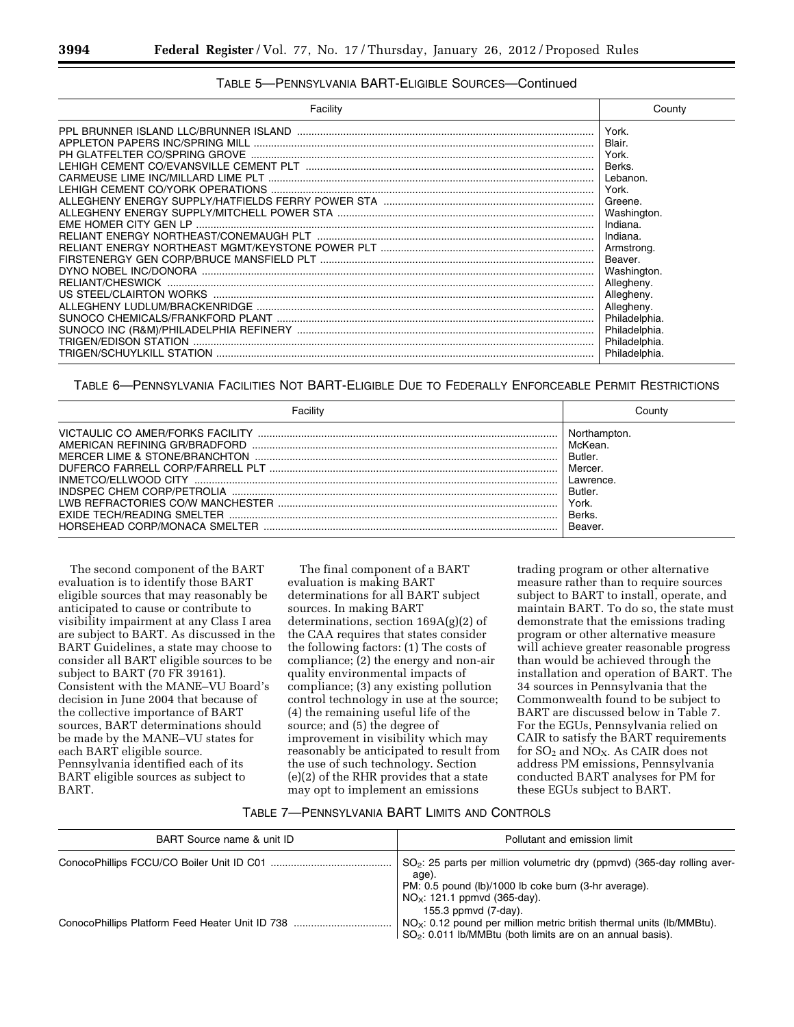# TABLE 5—PENNSYLVANIA BART-ELIGIBLE SOURCES—Continued

| Facility | County                                                                                                                                                                                                                                         |
|----------|------------------------------------------------------------------------------------------------------------------------------------------------------------------------------------------------------------------------------------------------|
|          | York.<br>Blair.<br>York.<br>Berks.<br>Lebanon.<br>York.<br>Greene.<br>Washington.<br>Indiana.<br>Indiana.<br>Armstrong.<br>Beaver.<br>Washington.<br>Allegheny.<br>Allegheny.<br>Allegheny.<br>Philadelphia.<br>Philadelphia.<br>Philadelphia. |
|          | Philadelphia                                                                                                                                                                                                                                   |

TABLE 6—PENNSYLVANIA FACILITIES NOT BART-ELIGIBLE DUE TO FEDERALLY ENFORCEABLE PERMIT RESTRICTIONS

| Facility | Countv                                                                                   |
|----------|------------------------------------------------------------------------------------------|
|          | McKean.<br>Butler.<br>Mercer.<br>Lawrence.<br>Butler.<br>York.<br>Berks<br><b>Beaver</b> |

The second component of the BART evaluation is to identify those BART eligible sources that may reasonably be anticipated to cause or contribute to visibility impairment at any Class I area are subject to BART. As discussed in the BART Guidelines, a state may choose to consider all BART eligible sources to be subject to BART (70 FR 39161). Consistent with the MANE–VU Board's decision in June 2004 that because of the collective importance of BART sources, BART determinations should be made by the MANE–VU states for each BART eligible source. Pennsylvania identified each of its BART eligible sources as subject to BART.

The final component of a BART evaluation is making BART determinations for all BART subject sources. In making BART determinations, section 169A(g)(2) of the CAA requires that states consider the following factors: (1) The costs of compliance; (2) the energy and non-air quality environmental impacts of compliance; (3) any existing pollution control technology in use at the source; (4) the remaining useful life of the source; and (5) the degree of improvement in visibility which may reasonably be anticipated to result from the use of such technology. Section (e)(2) of the RHR provides that a state may opt to implement an emissions

trading program or other alternative measure rather than to require sources subject to BART to install, operate, and maintain BART. To do so, the state must demonstrate that the emissions trading program or other alternative measure will achieve greater reasonable progress than would be achieved through the installation and operation of BART. The 34 sources in Pennsylvania that the Commonwealth found to be subject to BART are discussed below in Table 7. For the EGUs, Pennsylvania relied on CAIR to satisfy the BART requirements for  $SO_2$  and  $NO_X$ . As CAIR does not address PM emissions, Pennsylvania conducted BART analyses for PM for these EGUs subject to BART.

# TABLE 7—PENNSYLVANIA BART LIMITS AND CONTROLS

| BART Source name & unit ID | Pollutant and emission limit                                                                                                                                                   |
|----------------------------|--------------------------------------------------------------------------------------------------------------------------------------------------------------------------------|
|                            | $SO2$ : 25 parts per million volumetric dry (ppmvd) (365-day rolling aver-<br>age).<br>PM: 0.5 pound (lb)/1000 lb coke burn (3-hr average).<br>$NO_x$ : 121.1 ppmvd (365-day). |
|                            | 155.3 ppmvd $(7$ -day).<br>$NOx$ : 0.12 pound per million metric british thermal units (lb/MMBtu).<br>$SO2$ : 0.011 lb/MMBtu (both limits are on an annual basis).             |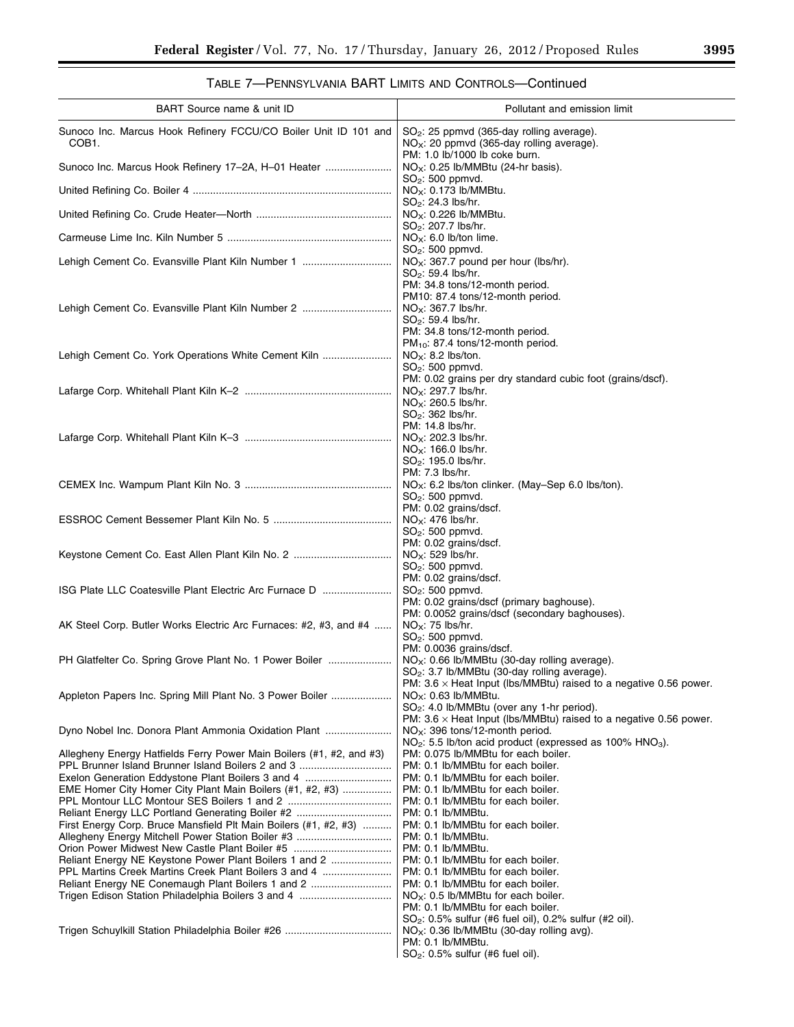$\equiv$ 

# TABLE 7—PENNSYLVANIA BART LIMITS AND CONTROLS—Continued

| BART Source name & unit ID                                                                                                                                           | Pollutant and emission limit                                                                                                                                                                                                                   |
|----------------------------------------------------------------------------------------------------------------------------------------------------------------------|------------------------------------------------------------------------------------------------------------------------------------------------------------------------------------------------------------------------------------------------|
| Sunoco Inc. Marcus Hook Refinery FCCU/CO Boiler Unit ID 101 and<br>COB <sub>1</sub> .                                                                                | $SO2$ : 25 ppmvd (365-day rolling average).<br>$NO_x$ : 20 ppmvd (365-day rolling average).                                                                                                                                                    |
| Sunoco Inc. Marcus Hook Refinery 17-2A, H-01 Heater                                                                                                                  | PM: 1.0 lb/1000 lb coke burn.<br>$NO_x$ : 0.25 lb/MMBtu (24-hr basis).<br>$SO2$ : 500 ppmvd.                                                                                                                                                   |
|                                                                                                                                                                      | NO <sub>x</sub> : 0.173 lb/MM<br>SO <sub>2</sub> : 24.3 lbs/hr.                                                                                                                                                                                |
|                                                                                                                                                                      | $NOx: 0.226$ lb/MMBtu.<br>SO <sub>2</sub> : 207.7 lbs/hr.                                                                                                                                                                                      |
|                                                                                                                                                                      | $NOX$ : 6.0 lb/ton lime.                                                                                                                                                                                                                       |
| Lehigh Cement Co. Evansville Plant Kiln Number 1                                                                                                                     | $SO2$ : 500 ppmvd.<br>$NOx: 367.7$ pound per hour (lbs/hr).<br>$SO_2$ : 59.4 lbs/hr.                                                                                                                                                           |
| Lehigh Cement Co. Evansville Plant Kiln Number 2                                                                                                                     | PM: 34.8 tons/12-month period.<br>PM10: 87.4 tons/12-month period.<br>$NOx: 367.7$ lbs/hr.<br>SO <sub>2</sub> : 59.4 lbs/hr.<br>PM: 34.8 tons/12-month period.<br>$PM_{10}$ : 87.4 tons/12-month period.                                       |
| Lehigh Cement Co. York Operations White Cement Kiln                                                                                                                  | $NOx: 8.2$ lbs/ton.<br>SO <sub>2</sub> : 500 ppmvd.                                                                                                                                                                                            |
|                                                                                                                                                                      | PM: 0.02 grains per dry standard cubic foot (grains/dscf).<br>$NOx: 297.7$ lbs/hr.<br>$NOx: 260.5$ lbs/hr.<br>SO <sub>2</sub> : 362 lbs/hr.                                                                                                    |
|                                                                                                                                                                      | PM: 14.8 lbs/hr.<br>NO <sub>x</sub> : 202.3 lbs/hr.<br>$NOX: 166.0$ lbs/hr.<br>$SO_2$ : 195.0 lbs/hr.                                                                                                                                          |
|                                                                                                                                                                      | PM: 7.3 lbs/hr.<br>$NOX$ : 6.2 lbs/ton clinker. (May-Sep 6.0 lbs/ton).<br>SO <sub>2</sub> : 500 ppmvd.                                                                                                                                         |
|                                                                                                                                                                      | PM: 0.02 grains/dscf.<br>$NOx: 476$ lbs/hr.<br>SO <sub>2</sub> : 500 ppmvd.                                                                                                                                                                    |
|                                                                                                                                                                      | PM: 0.02 grains/dscf.<br>$NOX: 529$ lbs/hr.<br>$SO2$ : 500 ppmvd.                                                                                                                                                                              |
| ISG Plate LLC Coatesville Plant Electric Arc Furnace D                                                                                                               | PM: 0.02 grains/dscf.<br>$SO2$ : 500 ppmvd.<br>PM: 0.02 grains/dscf (primary baghouse).                                                                                                                                                        |
| AK Steel Corp. Butler Works Electric Arc Furnaces: #2, #3, and #4                                                                                                    | PM: 0.0052 grains/dscf (secondary baghouses).<br>$NOX: 75$ lbs/hr.<br>$SO2$ : 500 ppmvd.                                                                                                                                                       |
| PH Glatfelter Co. Spring Grove Plant No. 1 Power Boiler                                                                                                              | PM: 0.0036 grains/dscf.<br>$NOx$ : 0.66 lb/MMBtu (30-day rolling average).<br>SO <sub>2</sub> : 3.7 lb/MMBtu (30-day rolling average).                                                                                                         |
| Appleton Papers Inc. Spring Mill Plant No. 3 Power Boiler                                                                                                            | PM: $3.6 \times$ Heat Input (lbs/MMBtu) raised to a negative 0.56 power.<br>NO <sub>X</sub> : 0.63 lb/MM<br>SO <sub>2</sub> : 4.0 lb/MMBtu (over any 1-hr period).<br>PM: $3.6 \times$ Heat Input (Ibs/MMBtu) raised to a negative 0.56 power. |
| Dyno Nobel Inc. Donora Plant Ammonia Oxidation Plant                                                                                                                 | $NOx$ : 396 tons/12-month period.<br>NO <sub>2</sub> : 5.5 lb/ton acid product (expressed as 100% HNO <sub>3</sub> ).                                                                                                                          |
| Allegheny Energy Hatfields Ferry Power Main Boilers (#1, #2, and #3)<br>PPL Brunner Island Brunner Island Boilers 2 and 3                                            | PM: 0.075 lb/MMBtu for each boiler.<br>PM: 0.1 lb/MMBtu for each boiler.                                                                                                                                                                       |
| Exelon Generation Eddystone Plant Boilers 3 and 4<br>EME Homer City Homer City Plant Main Boilers (#1, #2, #3)<br>Reliant Energy LLC Portland Generating Boiler #2   | PM: 0.1 lb/MMBtu for each boiler.<br>PM: 0.1 lb/MMBtu for each boiler.<br>PM: 0.1 lb/MMBtu for each boiler.<br>PM: 0.1 lb/MMBtu.                                                                                                               |
| First Energy Corp. Bruce Mansfield Plt Main Boilers (#1, #2, #3)<br>Orion Power Midwest New Castle Plant Boiler #5                                                   | PM: 0.1 lb/MMBtu for each boiler.<br>PM: 0.1 lb/MMBtu.<br>PM: 0.1 lb/MMBtu.                                                                                                                                                                    |
| Reliant Energy NE Keystone Power Plant Boilers 1 and 2<br>PPL Martins Creek Martins Creek Plant Boilers 3 and 4<br>Reliant Energy NE Conemaugh Plant Boilers 1 and 2 | PM: 0.1 lb/MMBtu for each boiler.<br>PM: 0.1 lb/MMBtu for each boiler.<br>PM: 0.1 lb/MMBtu for each boiler.<br>$NOx: 0.5$ lb/MMBtu for each boiler.<br>PM: 0.1 lb/MMBtu for each boiler.                                                       |
|                                                                                                                                                                      | $SO_2$ : 0.5% sulfur (#6 fuel oil), 0.2% sulfur (#2 oil).<br>$NO_{\rm X}$ : 0.36 lb/MMBtu (30-day rolling avg).<br>PM: 0.1 lb/MMBtu.<br>$SO2: 0.5%$ sulfur (#6 fuel oil).                                                                      |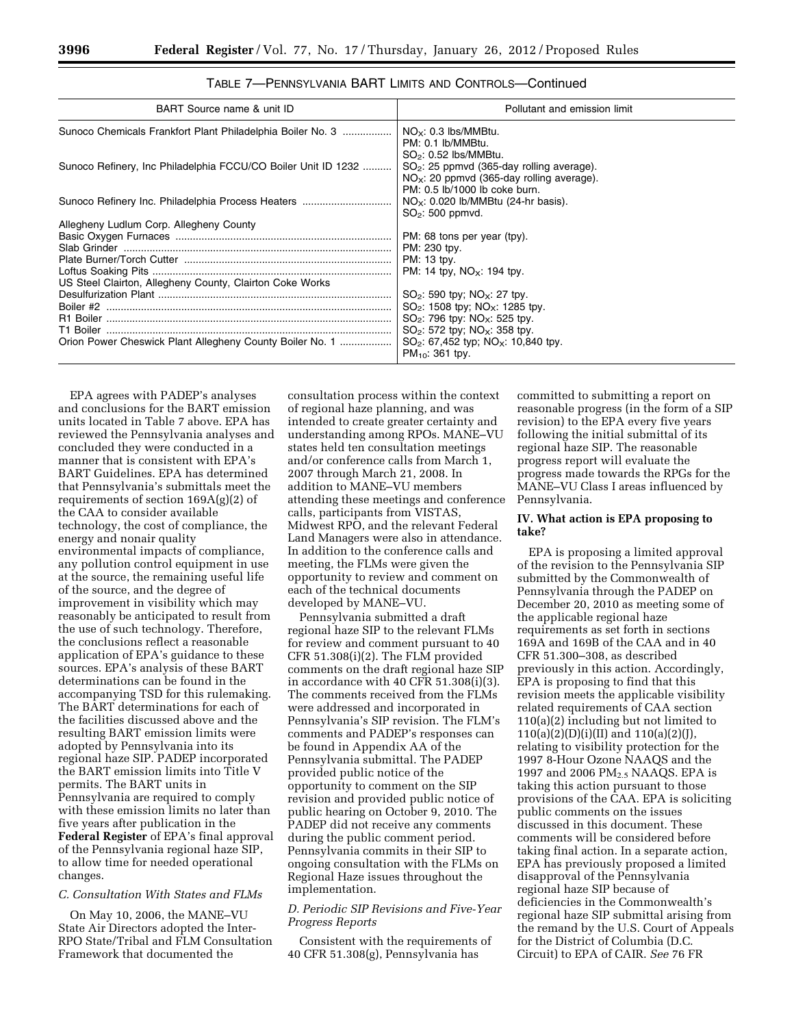| BART Source name & unit ID                                    | Pollutant and emission limit                                                                                                |
|---------------------------------------------------------------|-----------------------------------------------------------------------------------------------------------------------------|
| Sunoco Chemicals Frankfort Plant Philadelphia Boiler No. 3    | $NO_{\times}$ : 0.3 lbs/MMBtu.<br>PM: 0.1 lb/MMBtu.<br>$SO2: 0.52$ lbs/MMBtu.                                               |
| Sunoco Refinery, Inc Philadelphia FCCU/CO Boiler Unit ID 1232 | $SO2$ : 25 ppmvd (365-day rolling average).<br>$NOx$ : 20 ppmvd (365-day rolling average).<br>PM: 0.5 lb/1000 lb coke burn. |
| Sunoco Refinery Inc. Philadelphia Process Heaters             | $NOx$ : 0.020 lb/MMBtu (24-hr basis).<br>$SO2$ : 500 ppmvd.                                                                 |
| Allegheny Ludlum Corp. Allegheny County                       |                                                                                                                             |
|                                                               | PM: 68 tons per year (tpy).                                                                                                 |
|                                                               | PM: 230 tpy.                                                                                                                |
|                                                               | PM: 13 tpy.                                                                                                                 |
|                                                               | PM: 14 tpy, $NO_x$ : 194 tpy.                                                                                               |
| US Steel Clairton, Allegheny County, Clairton Coke Works      |                                                                                                                             |
|                                                               | $SO_2$ : 590 tpy; $NO_x$ : 27 tpy.                                                                                          |
|                                                               | $SO_2$ : 1508 tpv; NO <sub>x</sub> : 1285 tpv.                                                                              |
|                                                               | $SO_2$ : 796 tpy: NO <sub>x</sub> : 525 tpy.                                                                                |
|                                                               | $SO_2$ : 572 tpy; NO <sub>x</sub> : 358 tpy.                                                                                |
| Orion Power Cheswick Plant Allegheny County Boiler No. 1      | SO <sub>2</sub> : 67,452 typ; NO <sub>x</sub> : 10,840 tpy.<br>$PM_{10}$ : 361 tpy.                                         |

TABLE 7—PENNSYLVANIA BART LIMITS AND CONTROLS—Continued

EPA agrees with PADEP's analyses and conclusions for the BART emission units located in Table 7 above. EPA has reviewed the Pennsylvania analyses and concluded they were conducted in a manner that is consistent with EPA's BART Guidelines. EPA has determined that Pennsylvania's submittals meet the requirements of section 169A(g)(2) of the CAA to consider available technology, the cost of compliance, the energy and nonair quality environmental impacts of compliance, any pollution control equipment in use at the source, the remaining useful life of the source, and the degree of improvement in visibility which may reasonably be anticipated to result from the use of such technology. Therefore, the conclusions reflect a reasonable application of EPA's guidance to these sources. EPA's analysis of these BART determinations can be found in the accompanying TSD for this rulemaking. The BART determinations for each of the facilities discussed above and the resulting BART emission limits were adopted by Pennsylvania into its regional haze SIP. PADEP incorporated the BART emission limits into Title V permits. The BART units in Pennsylvania are required to comply with these emission limits no later than five years after publication in the **Federal Register** of EPA's final approval of the Pennsylvania regional haze SIP, to allow time for needed operational changes.

#### *C. Consultation With States and FLMs*

On May 10, 2006, the MANE–VU State Air Directors adopted the Inter-RPO State/Tribal and FLM Consultation Framework that documented the

consultation process within the context of regional haze planning, and was intended to create greater certainty and understanding among RPOs. MANE–VU states held ten consultation meetings and/or conference calls from March 1, 2007 through March 21, 2008. In addition to MANE–VU members attending these meetings and conference calls, participants from VISTAS, Midwest RPO, and the relevant Federal Land Managers were also in attendance. In addition to the conference calls and meeting, the FLMs were given the opportunity to review and comment on each of the technical documents developed by MANE–VU.

Pennsylvania submitted a draft regional haze SIP to the relevant FLMs for review and comment pursuant to 40 CFR 51.308(i)(2). The FLM provided comments on the draft regional haze SIP in accordance with 40 CFR 51.308(i)(3). The comments received from the FLMs were addressed and incorporated in Pennsylvania's SIP revision. The FLM's comments and PADEP's responses can be found in Appendix AA of the Pennsylvania submittal. The PADEP provided public notice of the opportunity to comment on the SIP revision and provided public notice of public hearing on October 9, 2010. The PADEP did not receive any comments during the public comment period. Pennsylvania commits in their SIP to ongoing consultation with the FLMs on Regional Haze issues throughout the implementation.

#### *D. Periodic SIP Revisions and Five-Year Progress Reports*

Consistent with the requirements of 40 CFR 51.308(g), Pennsylvania has

committed to submitting a report on reasonable progress (in the form of a SIP revision) to the EPA every five years following the initial submittal of its regional haze SIP. The reasonable progress report will evaluate the progress made towards the RPGs for the MANE–VU Class I areas influenced by Pennsylvania.

# **IV. What action is EPA proposing to take?**

EPA is proposing a limited approval of the revision to the Pennsylvania SIP submitted by the Commonwealth of Pennsylvania through the PADEP on December 20, 2010 as meeting some of the applicable regional haze requirements as set forth in sections 169A and 169B of the CAA and in 40 CFR 51.300–308, as described previously in this action. Accordingly, EPA is proposing to find that this revision meets the applicable visibility related requirements of CAA section 110(a)(2) including but not limited to 110(a)(2)(D)(i)(II) and 110(a)(2)(J), relating to visibility protection for the 1997 8-Hour Ozone NAAQS and the 1997 and 2006 PM<sub>2.5</sub> NAAQS. EPA is taking this action pursuant to those provisions of the CAA. EPA is soliciting public comments on the issues discussed in this document. These comments will be considered before taking final action. In a separate action, EPA has previously proposed a limited disapproval of the Pennsylvania regional haze SIP because of deficiencies in the Commonwealth's regional haze SIP submittal arising from the remand by the U.S. Court of Appeals for the District of Columbia (D.C. Circuit) to EPA of CAIR. *See* 76 FR